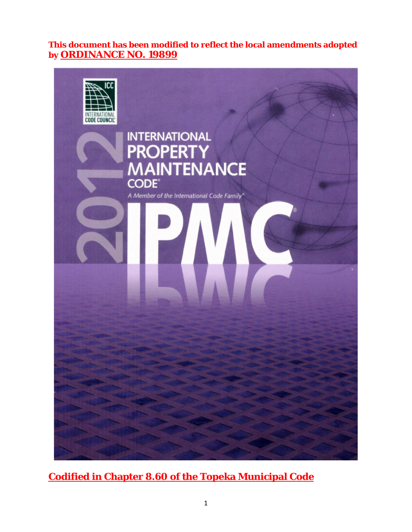# **This document has been modified to reflect the local amendments adopted by [ORDINANCE NO. 19899](http://www.topeka.org/cityclerk/Ordinances/19899_adopting_2012_International_Property_Maintenance_Code.pdf)**



**[Codified in Chapter 8.60 of the Topeka Municipal Code](http://www.codepublishing.com/KS/Topeka/?topeka08/Topeka0860.html)**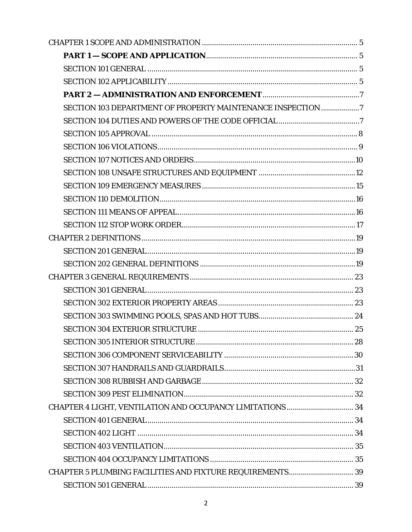| SECTION 103 DEPARTMENT OF PROPERTY MAINTENANCE INSPECTION 7 |  |
|-------------------------------------------------------------|--|
|                                                             |  |
|                                                             |  |
|                                                             |  |
|                                                             |  |
|                                                             |  |
|                                                             |  |
|                                                             |  |
|                                                             |  |
|                                                             |  |
|                                                             |  |
|                                                             |  |
|                                                             |  |
|                                                             |  |
|                                                             |  |
|                                                             |  |
|                                                             |  |
|                                                             |  |
|                                                             |  |
|                                                             |  |
|                                                             |  |
|                                                             |  |
|                                                             |  |
|                                                             |  |
|                                                             |  |
|                                                             |  |
|                                                             |  |
|                                                             |  |
| CHAPTER 5 PLUMBING FACILITIES AND FIXTURE REQUIREMENTS 39   |  |
|                                                             |  |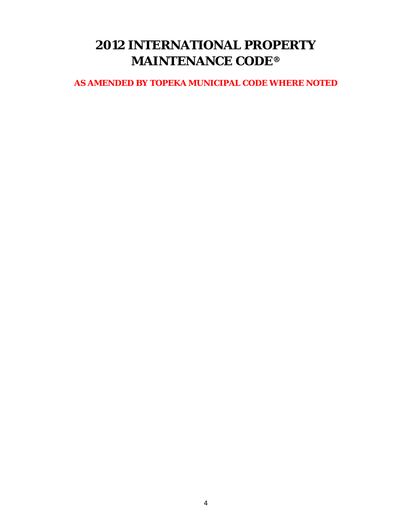# **2012 INTERNATIONAL PROPERTY MAINTENANCE CODE®**

**AS AMENDED BY TOPEKA MUNICIPAL CODE WHERE NOTED**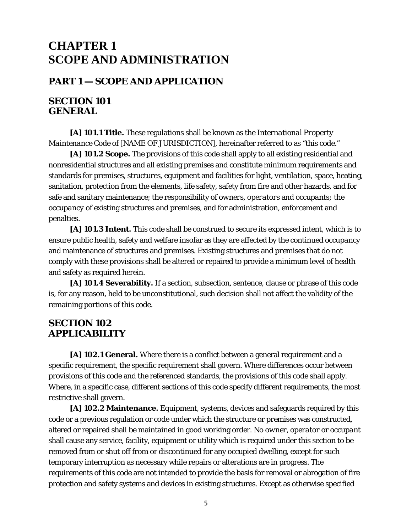# <span id="page-4-0"></span>**CHAPTER 1 SCOPE AND ADMINISTRATION**

## <span id="page-4-1"></span>**PART 1 — SCOPE AND APPLICATION**

## <span id="page-4-2"></span>**SECTION 101 GENERAL**

**[A] 101.1 Title.** These regulations shall be known as the *International Property Maintenance Code* of [NAME OF JURISDICTION], hereinafter referred to as "this code."

**[A] 101.2 Scope.** The provisions of this code shall apply to all existing residential and nonresidential structures and all existing *premises* and constitute minimum requirements and standards for *premises,* structures, equipment and facilities for light, *ventilation,* space, heating, sanitation, protection from the elements, life safety, safety from fire and other hazards, and for safe and sanitary maintenance; the responsibility of *owners, operators* and *occupants;* the *occupancy* of existing structures and *premises,* and for administration, enforcement and penalties.

[A] 101.3 Intent. This code shall be construed to secure its expressed intent, which is to ensure public health, safety and welfare insofar as they are affected by the continued *occupancy* and maintenance of structures and *premises.* Existing structures and *premises* that do not comply with these provisions shall be altered or repaired to provide a minimum level of health and safety as required herein.

**[A] 101.4 Severability.** If a section, subsection, sentence, clause or phrase of this code is, for any reason, held to be unconstitutional, such decision shall not affect the validity of the remaining portions of this code.

## <span id="page-4-3"></span>**SECTION 102 APPLICABILITY**

**[A] 102.1 General.** Where there is a conflict between a general requirement and a specific requirement, the specific requirement shall govern. Where differences occur between provisions of this code and the referenced standards, the provisions of this code shall apply. Where, in a specific case, different sections of this code specify different requirements, the most restrictive shall govern.

**[A] 102.2 Maintenance.** Equipment, systems, devices and safeguards required by this code or a previous regulation or code under which the structure or *premises* was constructed, altered or repaired shall be maintained in good working order. No *owner, operator* or *occupant* shall cause any service, facility, equipment or utility which is required under this section to be removed from or shut off from or discontinued for any occupied dwelling, except for such temporary interruption as necessary while repairs or alterations are in progress. The requirements of this code are not intended to provide the basis for removal or abrogation of fire protection and safety systems and devices in existing structures. Except as otherwise specified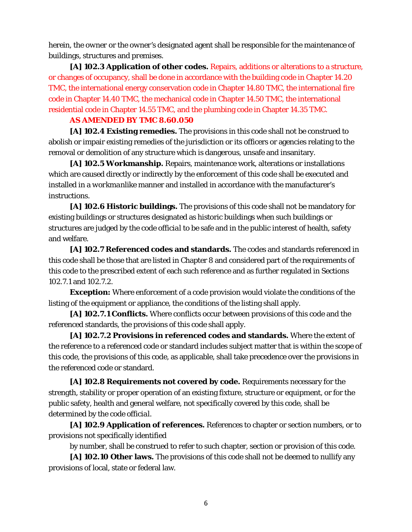herein, the *owner* or the *owner's* designated agent shall be responsible for the maintenance of buildings, structures and *premises.*

**[A] 102.3 Application of other codes.** Repairs, additions or alterations to a structure, or changes of occupancy, shall be done in accordance with the building code in Chapter 14.20 TMC, the international energy conservation code in Chapter 14.80 TMC, the international fire code in Chapter 14.40 TMC, the mechanical code in Chapter 14.50 TMC, the international residential code in Chapter 14.55 TMC, and the plumbing code in Chapter 14.35 TMC.

## **AS AMENDED BY TMC 8.60.050**

**[A] 102.4 Existing remedies.** The provisions in this code shall not be construed to abolish or impair existing remedies of the jurisdiction or its officers or agencies relating to the removal or demolition of any structure which is dangerous, unsafe and insanitary.

**[A] 102.5 Workmanship.** Repairs, maintenance work, alterations or installations which are caused directly or indirectly by the enforcement of this code shall be executed and installed in a *workmanlike* manner and installed in accordance with the manufacturer's instructions.

**[A] 102.6 Historic buildings.** The provisions of this code shall not be mandatory for existing buildings or structures designated as historic buildings when such buildings or structures are judged by the *code official* to be safe and in the public interest of health, safety and welfare.

**[A] 102.7 Referenced codes and standards.** The codes and standards referenced in this code shall be those that are listed in Chapter 8 and considered part of the requirements of this code to the prescribed extent of each such reference and as further regulated in Sections 102.7.1 and 102.7.2.

**Exception:** Where enforcement of a code provision would violate the conditions of the listing of the equipment or appliance, the conditions of the listing shall apply.

**[A] 102.7.1 Conflicts.** Where conflicts occur between provisions of this code and the referenced standards, the provisions of this code shall apply.

**[A] 102.7.2 Provisions in referenced codes and standards.** Where the extent of the reference to a referenced code or standard includes subject matter that is within the scope of this code, the provisions of this code, as applicable, shall take precedence over the provisions in the referenced code or standard.

**[A] 102.8 Requirements not covered by code.** Requirements necessary for the strength, stability or proper operation of an existing fixture, structure or equipment, or for the public safety, health and general welfare, not specifically covered by this code, shall be determined by the *code official.*

**[A] 102.9 Application of references.** References to chapter or section numbers, or to provisions not specifically identified

by number, shall be construed to refer to such chapter, section or provision of this code.

**[A] 102.10 Other laws.** The provisions of this code shall not be deemed to nullify any provisions of local, state or federal law.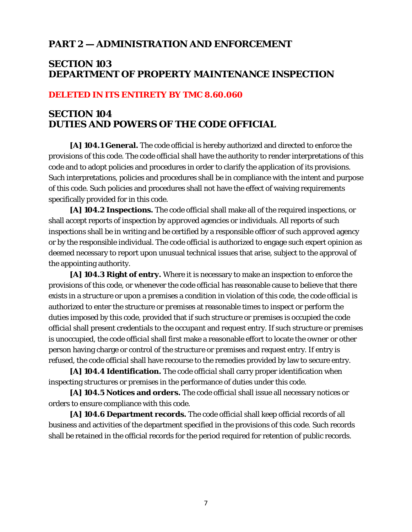## <span id="page-6-0"></span>**PART 2 — ADMINISTRATION AND ENFORCEMENT**

# <span id="page-6-1"></span>**SECTION 103 DEPARTMENT OF PROPERTY MAINTENANCE INSPECTION**

## **DELETED IN ITS ENTIRETY BY TMC 8.60.060**

# <span id="page-6-2"></span>**SECTION 104 DUTIES AND POWERS OF THE CODE OFFICIAL**

**[A] 104.1 General.** The *code official* is hereby authorized and directed to enforce the provisions of this code. The *code official* shall have the authority to render interpretations of this code and to adopt policies and procedures in order to clarify the application of its provisions. Such interpretations, policies and procedures shall be in compliance with the intent and purpose of this code. Such policies and procedures shall not have the effect of waiving requirements specifically provided for in this code.

**[A] 104.2 Inspections.** The *code official* shall make all of the required inspections, or shall accept reports of inspection by *approved* agencies or individuals. All reports of such inspections shall be in writing and be certified by a responsible officer of such *approved* agency or by the responsible individual. The *code official* is authorized to engage such expert opinion as deemed necessary to report upon unusual technical issues that arise, subject to the approval of the appointing authority.

**[A] 104.3 Right of entry.** Where it is necessary to make an inspection to enforce the provisions of this code, or whenever the *code official* has reasonable cause to believe that there exists in a *structure* or upon a *premises* a condition in violation of this code, the *code official* is authorized to enter the structure or *premises* at reasonable times to inspect or perform the duties imposed by this code, provided that if such *structure* or *premises* is occupied the *code official* shall present credentials to the *occupant* and request entry. If such structure or *premises* is unoccupied, the *code official* shall first make a reasonable effort to locate the *owner* or other person having charge or control of the *structure* or *premises* and request entry. If entry is refused, the *code official* shall have recourse to the remedies provided by law to secure entry.

**[A] 104.4 Identification.** The *code official* shall carry proper identification when inspecting *structures* or *premises* in the performance of duties under this code.

**[A] 104.5 Notices and orders.** The *code official* shall issue all necessary notices or orders to ensure compliance with this code.

**[A] 104.6 Department records.** The *code official* shall keep official records of all business and activities of the department specified in the provisions of this code. Such records shall be retained in the official records for the period required for retention of public records.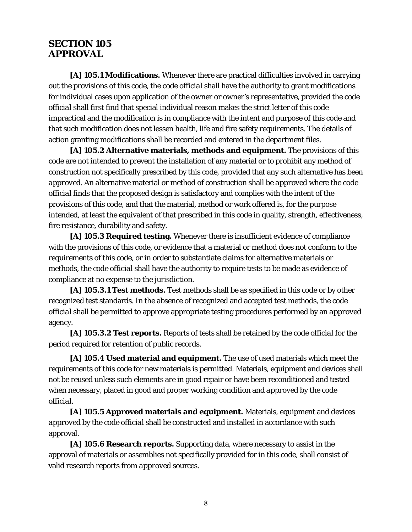# <span id="page-7-0"></span>**SECTION 105 APPROVAL**

**[A] 105.1 Modifications.** Whenever there are practical difficulties involved in carrying out the provisions of this code, the *code official* shall have the authority to grant modifications for individual cases upon application of the *owner* or *owner's* representative, provided the *code official* shall first find that special individual reason makes the strict letter of this code impractical and the modification is in compliance with the intent and purpose of this code and that such modification does not lessen health, life and fire safety requirements. The details of action granting modifications shall be recorded and entered in the department files.

**[A] 105.2 Alternative materials, methods and equipment.** The provisions of this code are not intended to prevent the installation of any material or to prohibit any method of construction not specifically prescribed by this code, provided that any such alternative has been *approved.* An alternative material or method of construction shall be *approved* where the *code official* finds that the proposed design is satisfactory and complies with the intent of the provisions of this code, and that the material, method or work offered is, for the purpose intended, at least the equivalent of that prescribed in this code in quality, strength, effectiveness, fire resistance, durability and safety.

**[A] 105.3 Required testing.** Whenever there is insufficient evidence of compliance with the provisions of this code, or evidence that a material or method does not conform to the requirements of this code, or in order to substantiate claims for alternative materials or methods, the *code official* shall have the authority to require tests to be made as evidence of compliance at no expense to the jurisdiction.

**[A] 105.3.1 Test methods.** Test methods shall be as specified in this code or by other recognized test standards. In the absence of recognized and accepted test methods, the *code official* shall be permitted to approve appropriate testing procedures performed by an *approved* agency.

**[A] 105.3.2 Test reports.** Reports of tests shall be retained by the *code official* for the period required for retention of public records.

**[A] 105.4 Used material and equipment.** The use of used materials which meet the requirements of this code for new materials is permitted. Materials, equipment and devices shall not be reused unless such elements are in good repair or have been reconditioned and tested when necessary, placed in good and proper working condition and *approved* by the *code official.*

**[A] 105.5 Approved materials and equipment.** Materials, equipment and devices *approved* by the *code official* shall be constructed and installed in accordance with such approval.

**[A] 105.6 Research reports.** Supporting data, where necessary to assist in the approval of materials or assemblies not specifically provided for in this code, shall consist of valid research reports from *approved* sources.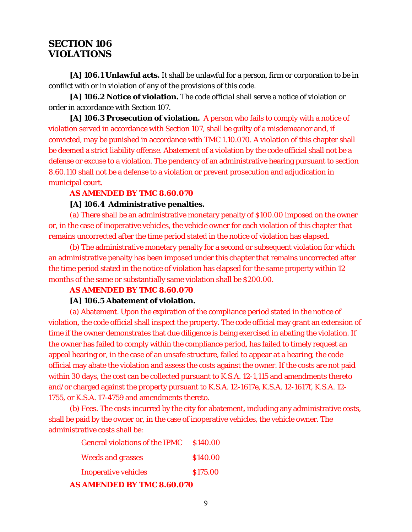## <span id="page-8-0"></span>**SECTION 106 VIOLATIONS**

**[A] 106.1 Unlawful acts.** It shall be unlawful for a person, firm or corporation to be in conflict with or in violation of any of the provisions of this code.

**[A] 106.2 Notice of violation.** The *code official* shall serve a notice of violation or order in accordance with Section 107.

**[A] 106.3 Prosecution of violation.** A person who fails to comply with a notice of violation served in accordance with Section 107, shall be guilty of a misdemeanor and, if convicted, may be punished in accordance with TMC 1.10.070. A violation of this chapter shall be deemed a strict liability offense. Abatement of a violation by the code official shall not be a defense or excuse to a violation. The pendency of an administrative hearing pursuant to section 8.60.110 shall not be a defense to a violation or prevent prosecution and adjudication in municipal court.

### **AS AMENDED BY TMC 8.60.070**

### **[A] 106.4 Administrative penalties.**

(a) There shall be an administrative monetary penalty of \$100.00 imposed on the owner or, in the case of inoperative vehicles, the vehicle owner for each violation of this chapter that remains uncorrected after the time period stated in the notice of violation has elapsed.

(b) The administrative monetary penalty for a second or subsequent violation for which an administrative penalty has been imposed under this chapter that remains uncorrected after the time period stated in the notice of violation has elapsed for the same property within 12 months of the same or substantially same violation shall be \$200.00.

### **AS AMENDED BY TMC 8.60.070**

### **[A] 106.5 Abatement of violation.**

(a) Abatement. Upon the expiration of the compliance period stated in the notice of violation, the code official shall inspect the property. The code official may grant an extension of time if the owner demonstrates that due diligence is being exercised in abating the violation. If the owner has failed to comply within the compliance period, has failed to timely request an appeal hearing or, in the case of an unsafe structure, failed to appear at a hearing, the code official may abate the violation and assess the costs against the owner. If the costs are not paid within 30 days, the cost can be collected pursuant to K.S.A. 12-1,115 and amendments thereto and/or charged against the property pursuant to K.S.A. 12-1617e, K.S.A. 12-1617f, K.S.A. 12- 1755, or K.S.A. 17-4759 and amendments thereto.

(b) Fees. The costs incurred by the city for abatement, including any administrative costs, shall be paid by the owner or, in the case of inoperative vehicles, the vehicle owner. The administrative costs shall be:

| <b>General violations of the IPMC</b> | \$140.00 |
|---------------------------------------|----------|
| <b>Weeds and grasses</b>              | \$140.00 |
| <b>Inoperative vehicles</b>           | \$175.00 |

### **AS AMENDED BY TMC 8.60.070**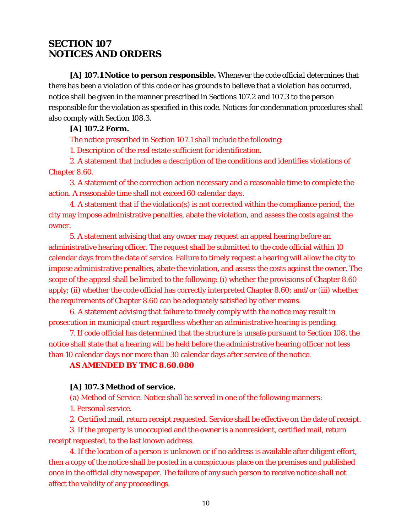# <span id="page-9-0"></span>**SECTION 107 NOTICES AND ORDERS**

**[A] 107.1 Notice to person responsible.** Whenever the *code official* determines that there has been a violation of this code or has grounds to believe that a violation has occurred, notice shall be given in the manner prescribed in Sections 107.2 and 107.3 to the person responsible for the violation as specified in this code. Notices for condemnation procedures shall also comply with Section 108.3.

### **[A] 107.2 Form.**

The notice prescribed in Section 107.1 shall include the following:

1. Description of the real estate sufficient for identification.

2. A statement that includes a description of the conditions and identifies violations of Chapter 8.60.

3. A statement of the correction action necessary and a reasonable time to complete the action. A reasonable time shall not exceed 60 calendar days.

4. A statement that if the violation(s) is not corrected within the compliance period, the city may impose administrative penalties, abate the violation, and assess the costs against the owner.

5. A statement advising that any owner may request an appeal hearing before an administrative hearing officer. The request shall be submitted to the code official within 10 calendar days from the date of service. Failure to timely request a hearing will allow the city to impose administrative penalties, abate the violation, and assess the costs against the owner. The scope of the appeal shall be limited to the following: (i) whether the provisions of Chapter 8.60 apply; (ii) whether the code official has correctly interpreted Chapter 8.60; and/or (iii) whether the requirements of Chapter 8.60 can be adequately satisfied by other means.

6. A statement advising that failure to timely comply with the notice may result in prosecution in municipal court regardless whether an administrative hearing is pending.

7. If code official has determined that the structure is unsafe pursuant to Section 108, the notice shall state that a hearing will be held before the administrative hearing officer not less than 10 calendar days nor more than 30 calendar days after service of the notice.

## **AS AMENDED BY TMC 8.60.080**

### **[A] 107.3 Method of service.**

(a) Method of Service. Notice shall be served in one of the following manners:

1. Personal service.

2. Certified mail, return receipt requested. Service shall be effective on the date of receipt.

3. If the property is unoccupied and the owner is a nonresident, certified mail, return receipt requested, to the last known address.

4. If the location of a person is unknown or if no address is available after diligent effort, then a copy of the notice shall be posted in a conspicuous place on the premises and published once in the official city newspaper. The failure of any such person to receive notice shall not affect the validity of any proceedings.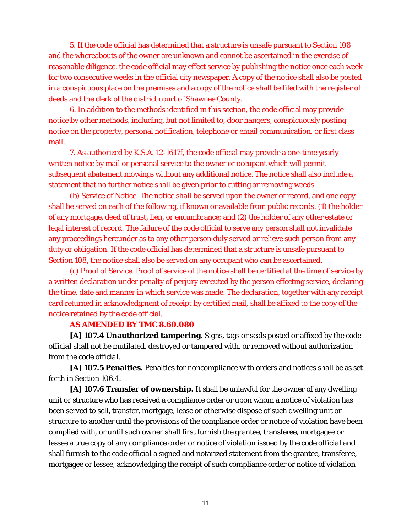5. If the code official has determined that a structure is unsafe pursuant to Section 108 and the whereabouts of the owner are unknown and cannot be ascertained in the exercise of reasonable diligence, the code official may effect service by publishing the notice once each week for two consecutive weeks in the official city newspaper. A copy of the notice shall also be posted in a conspicuous place on the premises and a copy of the notice shall be filed with the register of deeds and the clerk of the district court of Shawnee County.

6. In addition to the methods identified in this section, the code official may provide notice by other methods, including, but not limited to, door hangers, conspicuously posting notice on the property, personal notification, telephone or email communication, or first class mail.

7. As authorized by K.S.A. 12-1617f, the code official may provide a one-time yearly written notice by mail or personal service to the owner or occupant which will permit subsequent abatement mowings without any additional notice. The notice shall also include a statement that no further notice shall be given prior to cutting or removing weeds.

(b) Service of Notice. The notice shall be served upon the owner of record, and one copy shall be served on each of the following, if known or available from public records: (1) the holder of any mortgage, deed of trust, lien, or encumbrance; and (2) the holder of any other estate or legal interest of record. The failure of the code official to serve any person shall not invalidate any proceedings hereunder as to any other person duly served or relieve such person from any duty or obligation. If the code official has determined that a structure is unsafe pursuant to Section 108, the notice shall also be served on any occupant who can be ascertained.

(c) Proof of Service. Proof of service of the notice shall be certified at the time of service by a written declaration under penalty of perjury executed by the person effecting service, declaring the time, date and manner in which service was made. The declaration, together with any receipt card returned in acknowledgment of receipt by certified mail, shall be affixed to the copy of the notice retained by the code official.

### **AS AMENDED BY TMC 8.60.080**

**[A] 107.4 Unauthorized tampering.** Signs, tags or seals posted or affixed by the *code official* shall not be mutilated, destroyed or tampered with, or removed without authorization from the *code official.*

**[A] 107.5 Penalties.** Penalties for noncompliance with orders and notices shall be as set forth in Section 106.4.

**[A] 107.6 Transfer of ownership.** It shall be unlawful for the *owner* of any *dwelling unit* or structure who has received a compliance order or upon whom a notice of violation has been served to sell, transfer, mortgage, lease or otherwise dispose of such *dwelling unit* or structure to another until the provisions of the compliance order or notice of violation have been complied with, or until such *owner* shall first furnish the grantee, transferee, mortgagee or lessee a true copy of any compliance order or notice of violation issued by the *code official* and shall furnish to the *code official* a signed and notarized statement from the grantee, transferee, mortgagee or lessee, acknowledging the receipt of such compliance order or notice of violation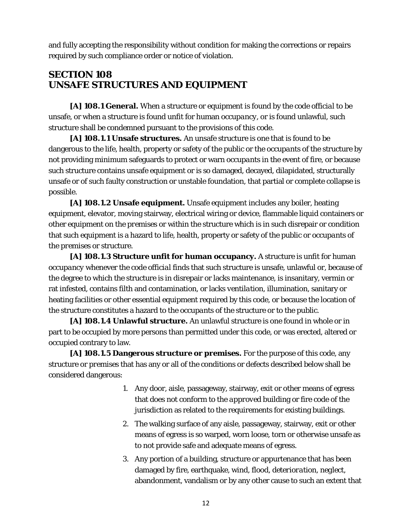and fully accepting the responsibility without condition for making the corrections or repairs required by such compliance order or notice of violation.

## <span id="page-11-0"></span>**SECTION 108 UNSAFE STRUCTURES AND EQUIPMENT**

**[A] 108.1 General.** When a structure or equipment is found by the *code official* to be unsafe, or when a structure is found unfit for human *occupancy,* or is found unlawful, such structure shall be *condemned* pursuant to the provisions of this code.

**[A] 108.1.1 Unsafe structures.** An unsafe structure is one that is found to be dangerous to the life, health, property or safety of the public or the *occupants* of the structure by not providing minimum safeguards to protect or warn *occupants* in the event of fire, or because such structure contains unsafe equipment or is so damaged, decayed, dilapidated, structurally unsafe or of such faulty construction or unstable foundation, that partial or complete collapse is possible.

**[A] 108.1.2 Unsafe equipment.** Unsafe equipment includes any boiler, heating equipment, elevator, moving stairway, electrical wiring or device, flammable liquid containers or other equipment on the *premises* or within the structure which is in such disrepair or condition that such equipment is a hazard to life, health, property or safety of the public or *occupants* of the *premises* or structure.

**[A] 108.1.3 Structure unfit for human occupancy.** A structure is unfit for human *occupancy* whenever the *code official* finds that such structure is unsafe, unlawful or, because of the degree to which the structure is in disrepair or lacks maintenance, is insanitary, vermin or rat infested, contains filth and contamination, or lacks *ventilation,* illumination, sanitary or heating facilities or other essential equipment required by this code, or because the location of the structure constitutes a hazard to the *occupants* of the structure or to the public.

**[A] 108.1.4 Unlawful structure.** An unlawful structure is one found in whole or in part to be occupied by more persons than permitted under this code, or was erected, altered or occupied contrary to law.

**[A] 108.1.5 Dangerous** *structure* **or** *premises.* For the purpose of this code, any structure or *premises* that has any or all of the conditions or defects described below shall be considered dangerous:

- 1. Any door, aisle, passageway, stairway, exit or other means of egress that does not conform to the *approved* building or fire code of the jurisdiction as related to the requirements for existing buildings.
- 2. The walking surface of any aisle, passageway, stairway, exit or other means of egress is so warped, worn loose, torn or otherwise unsafe as to not provide safe and adequate means of egress.
- 3. Any portion of a building, structure or appurtenance that has been damaged by fire, earthquake, wind, flood, *deterioration, neglect,* abandonment, vandalism or by any other cause to such an extent that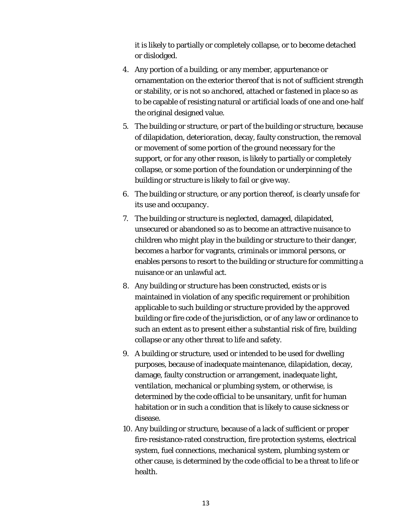it is likely to partially or completely collapse, or to become *detached* or dislodged.

- 4. Any portion of a building, or any member, appurtenance or ornamentation on the exterior thereof that is not of sufficient strength or stability, or is not so *anchored,* attached or fastened in place so as to be capable of resisting natural or artificial loads of one and one-half the original designed value.
- 5. The building or structure, or part of the building or structure, because of dilapidation, *deterioration,* decay, faulty construction, the removal or movement of some portion of the ground necessary for the support, or for any other reason, is likely to partially or completely collapse, or some portion of the foundation or underpinning of the building or structure is likely to fail or give way.
- 6. The building or structure, or any portion thereof, is clearly unsafe for its use and *occupancy.*
- 7. The building or structure is *neglected,* damaged, dilapidated, unsecured or abandoned so as to become an attractive nuisance to children who might play in the building or structure to their danger, becomes a harbor for vagrants, criminals or immoral persons, or enables persons to resort to the building or structure for committing a nuisance or an unlawful act.
- 8. Any building or structure has been constructed, exists or is maintained in violation of any specific requirement or prohibition applicable to such building or structure provided by the *approved* building or fire code of the jurisdiction, or of any law or ordinance to such an extent as to present either a substantial risk of fire, building collapse or any other threat to life and safety.
- 9. A building or structure, used or intended to be used for dwelling purposes, because of inadequate maintenance, dilapidation, decay, damage, faulty construction or arrangement, inadequate light, *ventilation,* mechanical or plumbing system, or otherwise, is determined by the *code official* to be unsanitary, unfit for human habitation or in such a condition that is likely to cause sickness or disease.
- 10. Any building or structure, because of a lack of sufficient or proper fire-resistance-rated construction, fire protection systems, electrical system, fuel connections, mechanical system, plumbing system or other cause, is determined by the *code official* to be a threat to life or health.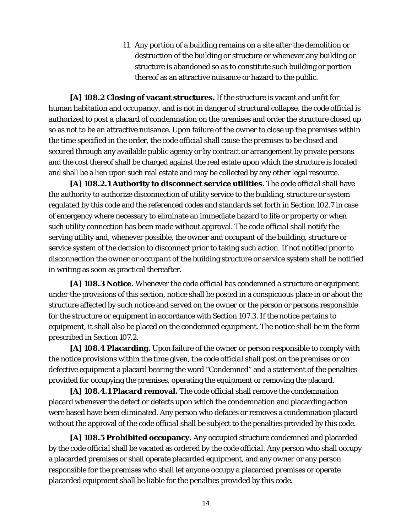11. Any portion of a building remains on a site after the demolition or destruction of the building or structure or whenever any building or structure is abandoned so as to constitute such building or portion thereof as an attractive nuisance or hazard to the public.

**[A] 108.2 Closing of vacant structures.** If the structure is vacant and unfit for human habitation and *occupancy,* and is not in danger of structural collapse, the *code official* is authorized to post a placard of condemnation on the *premises* and order the structure closed up so as not to be an attractive nuisance. Upon failure of the *owner* to close up the *premises* within the time specified in the order, the *code official* shall cause the *premises* to be closed and secured through any available public agency or by contract or arrangement by private persons and the cost thereof shall be charged against the real estate upon which the structure is located and shall be a lien upon such real estate and may be collected by any other legal resource.

**[A] 108.2.1 Authority to disconnect service utilities.** The *code official* shall have the authority to authorize disconnection of utility service to the building, structure or system regulated by this code and the referenced codes and standards set forth in Section 102.7 in case of emergency where necessary to eliminate an immediate hazard to life or property or when such utility connection has been made without approval. The *code official* shall notify the serving utility and, whenever possible, the *owner* and *occupant* of the building, structure or service system of the decision to disconnect prior to taking such action. If not notified prior to disconnection the *owner* or *occupant* of the building structure or service system shall be notified in writing as soon as practical thereafter.

**[A] 108.3 Notice.** Whenever the *code official* has *condemned* a structure or equipment under the provisions of this section, notice shall be posted in a conspicuous place in or about the structure affected by such notice and served on the *owner* or the person or persons responsible for the structure or equipment in accordance with Section 107.3. If the notice pertains to equipment, it shall also be placed on the *condemned* equipment. The notice shall be in the form prescribed in Section 107.2.

**[A] 108.4 Placarding.** Upon failure of the *owner* or person responsible to comply with the notice provisions within the time given, the *code official* shall post on the *premises* or on defective equipment a placard bearing the word "Condemned" and a statement of the penalties provided for occupying the *premises,* operating the equipment or removing the placard.

**[A] 108.4.1 Placard removal.** The *code official* shall remove the condemnation placard whenever the defect or defects upon which the condemnation and placarding action were based have been eliminated. Any person who defaces or removes a condemnation placard without the approval of the *code official* shall be subject to the penalties provided by this code.

**[A] 108.5 Prohibited occupancy.** Any occupied structure *condemned* and placarded by the *code official* shall be vacated as ordered by the *code official.* Any person who shall occupy a placarded *premises* or shall operate placarded equipment, and any *owner* or any person responsible for the *premises* who shall let anyone occupy a placarded *premises* or operate placarded equipment shall be liable for the penalties provided by this code.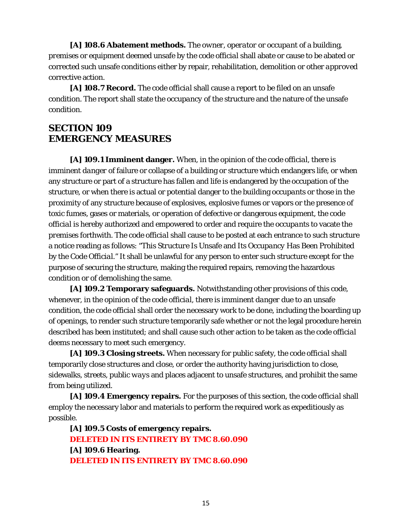**[A] 108.6 Abatement methods.** The *owner, operator* or *occupant* of a building, *premises* or equipment deemed unsafe by the *code official* shall abate or cause to be abated or corrected such unsafe conditions either by repair, rehabilitation, demolition or other *approved* corrective action.

**[A] 108.7 Record.** The *code official* shall cause a report to be filed on an unsafe condition. The report shall state the *occupancy* of the structure and the nature of the unsafe condition.

## <span id="page-14-0"></span>**SECTION 109 EMERGENCY MEASURES**

**[A] 109.1 Imminent danger.** When, in the opinion of the *code official,* there is *imminent danger* of failure or collapse of a building or structure which endangers life, or when any structure or part of a structure has fallen and life is endangered by the occupation of the structure, or when there is actual or potential danger to the building *occupants* or those in the proximity of any structure because of explosives, explosive fumes or vapors or the presence of toxic fumes, gases or materials, or operation of defective or dangerous equipment, the *code official* is hereby authorized and empowered to order and require the *occupants* to vacate the *premises* forthwith. The *code official* shall cause to be posted at each entrance to such structure a notice reading as follows: "This *Structure* Is Unsafe and Its *Occupancy* Has Been Prohibited by the *Code Official."* It shall be unlawful for any person to enter such structure except for the purpose of securing the structure, making the required repairs, removing the hazardous condition or of demolishing the same.

**[A] 109.2 Temporary safeguards.** Notwithstanding other provisions of this code, whenever, in the opinion of the *code official,* there is *imminent danger* due to an unsafe condition, the *code official* shall order the necessary work to be done, including the boarding up of openings, to render such structure temporarily safe whether or not the legal procedure herein described has been instituted; and shall cause such other action to be taken as the *code official* deems necessary to meet such emergency.

**[A] 109.3 Closing streets.** When necessary for public safety, the *code official* shall temporarily close structures and close, or order the authority having jurisdiction to close, sidewalks, streets, *public ways* and places adjacent to unsafe structures, and prohibit the same from being utilized.

**[A] 109.4 Emergency repairs.** For the purposes of this section, the *code official* shall employ the necessary labor and materials to perform the required work as expeditiously as possible.

**[A] 109.5 Costs of emergency repairs. DELETED IN ITS ENTIRETY BY TMC 8.60.090 [A] 109.6 Hearing. DELETED IN ITS ENTIRETY BY TMC 8.60.090**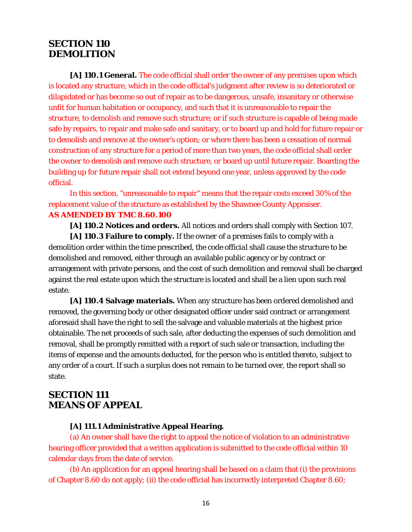## <span id="page-15-0"></span>**SECTION 110 DEMOLITION**

[A] 110.1 General. The code official shall order the owner of any premises upon which is located any structure, which in the code official's judgment after review is so deteriorated or dilapidated or has become so out of repair as to be dangerous, unsafe, insanitary or otherwise unfit for human habitation or occupancy, and such that it is unreasonable to repair the structure, to demolish and remove such structure; or if such structure is capable of being made safe by repairs, to repair and make safe and sanitary, or to board up and hold for future repair or to demolish and remove at the owner's option; or where there has been a cessation of normal construction of any structure for a period of more than two years, the code official shall order the owner to demolish and remove such structure, or board up until future repair. Boarding the building up for future repair shall not extend beyond one year, unless approved by the code official.

In this section, "unreasonable to repair" means that the repair costs exceed 30% of the replacement value of the structure as established by the Shawnee County Appraiser. **AS AMENDED BY TMC 8.60.100**

**[A] 110.2 Notices and orders.** All notices and orders shall comply with Section 107.

**[A] 110.3 Failure to comply.** If the *owner* of a *premises* fails to comply with a demolition order within the time prescribed, the *code official* shall cause the structure to be demolished and removed, either through an available public agency or by contract or arrangement with private persons, and the cost of such demolition and removal shall be charged against the real estate upon which the structure is located and shall be a lien upon such real estate.

**[A] 110.4 Salvage materials.** When any structure has been ordered demolished and removed, the governing body or other designated officer under said contract or arrangement aforesaid shall have the right to sell the salvage and valuable materials at the highest price obtainable. The net proceeds of such sale, after deducting the expenses of such demolition and removal, shall be promptly remitted with a report of such sale or transaction, including the items of expense and the amounts deducted, for the person who is entitled thereto, subject to any order of a court. If such a surplus does not remain to be turned over, the report shall so state.

## <span id="page-15-1"></span>**SECTION 111 MEANS OF APPEAL**

### **[A] 111.1 Administrative Appeal Hearing.**

(a) An owner shall have the right to appeal the notice of violation to an administrative hearing officer provided that a written application is submitted to the code official within 10 calendar days from the date of service.

(b) An application for an appeal hearing shall be based on a claim that (i) the provisions of Chapter 8.60 do not apply; (ii) the code official has incorrectly interpreted Chapter 8.60;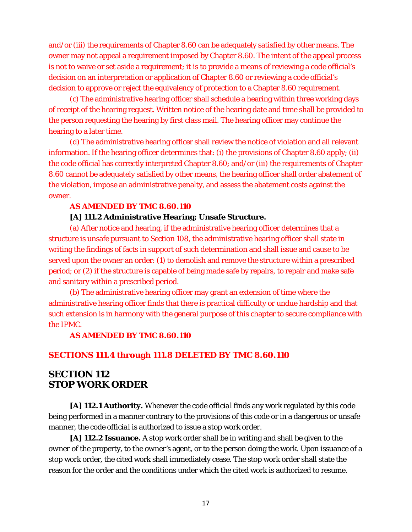and/or (iii) the requirements of Chapter 8.60 can be adequately satisfied by other means. The owner may not appeal a requirement imposed by Chapter 8.60. The intent of the appeal process is not to waive or set aside a requirement; it is to provide a means of reviewing a code official's decision on an interpretation or application of Chapter 8.60 or reviewing a code official's decision to approve or reject the equivalency of protection to a Chapter 8.60 requirement.

(c) The administrative hearing officer shall schedule a hearing within three working days of receipt of the hearing request. Written notice of the hearing date and time shall be provided to the person requesting the hearing by first class mail. The hearing officer may continue the hearing to a later time.

(d) The administrative hearing officer shall review the notice of violation and all relevant information. If the hearing officer determines that: (i) the provisions of Chapter 8.60 apply; (ii) the code official has correctly interpreted Chapter 8.60; and/or (iii) the requirements of Chapter 8.60 cannot be adequately satisfied by other means, the hearing officer shall order abatement of the violation, impose an administrative penalty, and assess the abatement costs against the owner.

### **AS AMENDED BY TMC 8.60.110**

### **[A] 111.2 Administrative Hearing; Unsafe Structure.**

(a) After notice and hearing, if the administrative hearing officer determines that a structure is unsafe pursuant to Section 108, the administrative hearing officer shall state in writing the findings of facts in support of such determination and shall issue and cause to be served upon the owner an order: (1) to demolish and remove the structure within a prescribed period; or (2) if the structure is capable of being made safe by repairs, to repair and make safe and sanitary within a prescribed period.

(b) The administrative hearing officer may grant an extension of time where the administrative hearing officer finds that there is practical difficulty or undue hardship and that such extension is in harmony with the general purpose of this chapter to secure compliance with the IPMC.

### **AS AMENDED BY TMC 8.60.110**

## **SECTIONS 111.4 through 111.8 DELETED BY TMC 8.60.110**

## <span id="page-16-0"></span>**SECTION 112 STOP WORK ORDER**

**[A] 112.1 Authority.** Whenever the *code official* finds any work regulated by this code being performed in a manner contrary to the provisions of this code or in a dangerous or unsafe manner, the *code official* is authorized to issue a stop work order.

**[A] 112.2 Issuance.** A stop work order shall be in writing and shall be given to the *owner* of the property, to the *owner's* agent, or to the person doing the work. Upon issuance of a stop work order, the cited work shall immediately cease. The stop work order shall state the reason for the order and the conditions under which the cited work is authorized to resume.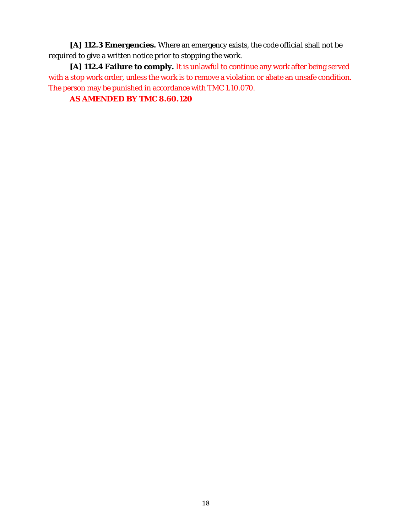**[A] 112.3 Emergencies.** Where an emergency exists, the *code official* shall not be required to give a written notice prior to stopping the work.

**[A] 112.4 Failure to comply.** It is unlawful to continue any work after being served with a stop work order, unless the work is to remove a violation or abate an unsafe condition. The person may be punished in accordance with TMC 1.10.070.

**AS AMENDED BY TMC 8.60.120**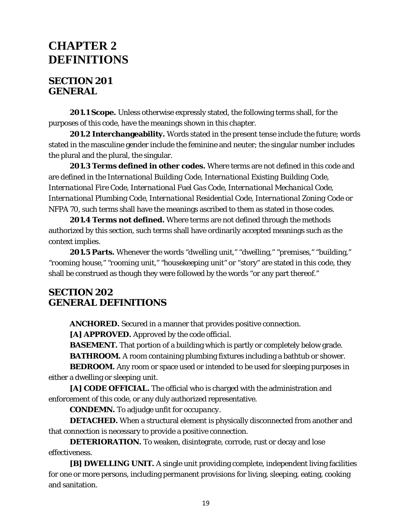# <span id="page-18-0"></span>**CHAPTER 2 DEFINITIONS**

# <span id="page-18-1"></span>**SECTION 201 GENERAL**

**201.1 Scope.** Unless otherwise expressly stated, the following terms shall, for the purposes of this code, have the meanings shown in this chapter.

**201.2 Interchangeability.** Words stated in the present tense include the future; words stated in the masculine gender include the feminine and neuter; the singular number includes the plural and the plural, the singular.

**201.3 Terms defined in other codes.** Where terms are not defined in this code and are defined in the *International Building Code, International Existing Building Code, International Fire Code, International Fuel Gas Code, International Mechanical Code, International Plumbing Code, International Residential Code, International Zoning Code* or NFPA 70, such terms shall have the meanings ascribed to them as stated in those codes.

**201.4 Terms not defined.** Where terms are not defined through the methods authorized by this section, such terms shall have ordinarily accepted meanings such as the context implies.

**201.5 Parts.** Whenever the words *"dwelling unit,"* "dwelling," *"premises,"* "building," *"rooming house," "rooming unit," "housekeeping unit"* or "story" are stated in this code, they shall be construed as though they were followed by the words "or any part thereof."

# <span id="page-18-2"></span>**SECTION 202 GENERAL DEFINITIONS**

**ANCHORED.** Secured in a manner that provides positive connection.

**[A] APPROVED.** *Approved* by the *code official.*

**BASEMENT.** That portion of a building which is partly or completely below grade.

**BATHROOM.** A room containing plumbing fixtures including a bathtub or shower.

**BEDROOM.** Any room or space used or intended to be used for sleeping purposes in either a dwelling or *sleeping unit.*

**[A] CODE OFFICIAL.** The official who is charged with the administration and enforcement of this code, or any duly authorized representative.

**CONDEMN.** To adjudge unfit for *occupancy.*

**DETACHED.** When a structural element is physically disconnected from another and that connection is necessary to provide a positive connection.

**DETERIORATION.** To weaken, disintegrate, corrode, rust or decay and lose effectiveness.

**[B] DWELLING UNIT.** A single unit providing complete, independent living facilities for one or more persons, including permanent provisions for living, sleeping, eating, cooking and sanitation.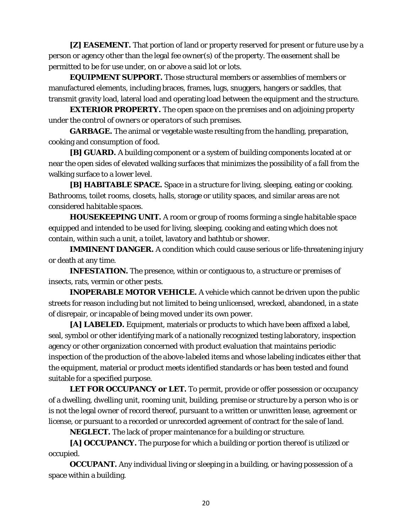**[Z] EASEMENT.** That portion of land or property reserved for present or future use by a person or agency other than the legal fee *owner(s)* of the property. The *easement* shall be permitted to be for use under, on or above a said lot or lots.

**EQUIPMENT SUPPORT.** Those structural members or assemblies of members or manufactured elements, including braces, frames, lugs, snuggers, hangers or saddles, that transmit gravity load, lateral load and operating load between the equipment and the structure.

**EXTERIOR PROPERTY.** The open space on the *premises* and on adjoining property under the control of *owners* or *operators* of such *premises.*

**GARBAGE.** The animal or vegetable waste resulting from the handling, preparation, cooking and consumption of food.

**[B] GUARD.** A building component or a system of building components located at or near the open sides of elevated walking surfaces that minimizes the possibility of a fall from the walking surface to a lower level.

**[B] HABITABLE SPACE.** Space in a structure for living, sleeping, eating or cooking. *Bathrooms, toilet rooms,* closets, halls, storage or utility spaces, and similar areas are not considered *habitable spaces.*

**HOUSEKEEPING UNIT.** A room or group of rooms forming a single *habitable space* equipped and intended to be used for living, sleeping, cooking and eating which does not contain, within such a unit, a toilet, lavatory and bathtub or shower.

**IMMINENT DANGER.** A condition which could cause serious or life-threatening injury or death at any time.

**INFESTATION.** The presence, within or contiguous to, a structure or *premises* of insects, rats, vermin or other pests.

**INOPERABLE MOTOR VEHICLE.** A vehicle which cannot be driven upon the public streets for reason including but not limited to being unlicensed, wrecked, abandoned, in a state of disrepair, or incapable of being moved under its own power.

**[A] LABELED.** Equipment, materials or products to which have been affixed a label, seal, symbol or other identifying mark of a nationally recognized testing laboratory, inspection agency or other organization concerned with product evaluation that maintains periodic inspection of the production of the *above-labeled* items and whose labeling indicates either that the equipment, material or product meets identified standards or has been tested and found suitable for a specified purpose.

**LET FOR OCCUPANCY or LET.** To permit, provide or offer possession or *occupancy* of a dwelling, *dwelling unit, rooming unit,* building, premise or structure by a person who is or is not the legal *owner* of record thereof, pursuant to a written or unwritten lease, agreement or license, or pursuant to a recorded or unrecorded agreement of contract for the sale of land.

**NEGLECT.** The lack of proper maintenance for a building or *structure.*

**[A] OCCUPANCY.** The purpose for which a building or portion thereof is utilized or occupied.

**OCCUPANT.** Any individual living or sleeping in a building, or having possession of a space within a building.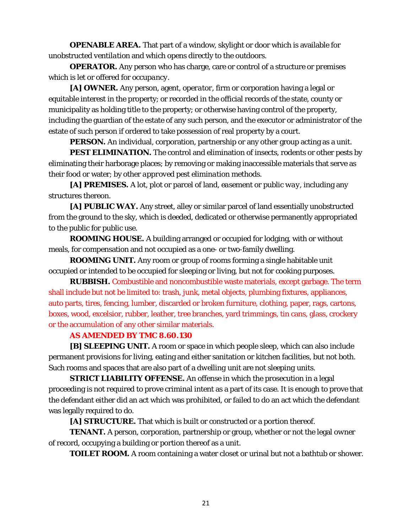**OPENABLE AREA.** That part of a window, skylight or door which is available for unobstructed *ventilation* and which opens directly to the outdoors.

**OPERATOR.** Any person who has charge, care or control of a structure or *premises* which is let or offered for *occupancy.*

**[A] OWNER.** Any person, agent, *operator,* firm or corporation having a legal or equitable interest in the property; or recorded in the official records of the state, county or municipality as holding title to the property; or otherwise having control of the property, including the guardian of the estate of any such person, and the executor or administrator of the estate of such person if ordered to take possession of real property by a court.

**PERSON.** An individual, corporation, partnership or any other group acting as a unit. **PEST ELIMINATION.** The control and elimination of insects, rodents or other pests by eliminating their harborage places; by removing or making inaccessible materials that serve as their food or water; by other *approved pest elimination* methods.

**[A] PREMISES.** A lot, plot or parcel of land, *easement* or *public way,* including any structures thereon.

**[A] PUBLIC WAY.** Any street, alley or similar parcel of land essentially unobstructed from the ground to the sky, which is deeded, dedicated or otherwise permanently appropriated to the public for public use.

**ROOMING HOUSE.** A building arranged or occupied for lodging, with or without meals, for compensation and not occupied as a one- or two-family dwelling.

**ROOMING UNIT.** Any room or group of rooms forming a single habitable unit occupied or intended to be occupied for sleeping or living, but not for cooking purposes.

**RUBBISH.** Combustible and noncombustible waste materials, except garbage. The term shall include but not be limited to: trash, junk, metal objects, plumbing fixtures, appliances, auto parts, tires, fencing, lumber, discarded or broken furniture, clothing, paper, rags, cartons, boxes, wood, excelsior, rubber, leather, tree branches, yard trimmings, tin cans, glass, crockery or the accumulation of any other similar materials.

## **AS AMENDED BY TMC 8.60.130**

**[B] SLEEPING UNIT.** A room or space in which people sleep, which can also include permanent provisions for living, eating and either sanitation or kitchen facilities, but not both. Such rooms and spaces that are also part of a *dwelling unit* are not *sleeping units.*

**STRICT LIABILITY OFFENSE.** An offense in which the prosecution in a legal proceeding is not required to prove criminal intent as a part of its case. It is enough to prove that the defendant either did an act which was prohibited, or failed to do an act which the defendant was legally required to do.

**[A] STRUCTURE.** That which is built or constructed or a portion thereof.

**TENANT.** A person, corporation, partnership or group, whether or not the legal *owner* of record, occupying a building or portion thereof as a unit.

**TOILET ROOM.** A room containing a water closet or urinal but not a bathtub or shower.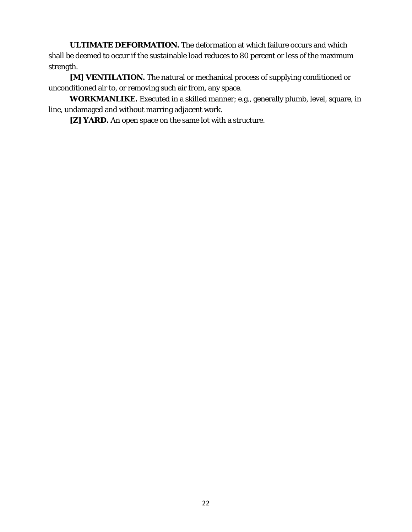**ULTIMATE DEFORMATION.** The deformation at which failure occurs and which shall be deemed to occur if the sustainable load reduces to 80 percent or less of the maximum strength.

**[M] VENTILATION.** The natural or mechanical process of supplying conditioned or unconditioned air to, or removing such air from, any space.

**WORKMANLIKE.** Executed in a skilled manner; e.g., generally plumb, level, square, in line, undamaged and without marring adjacent work.

**[Z] YARD.** An open space on the same lot with a structure.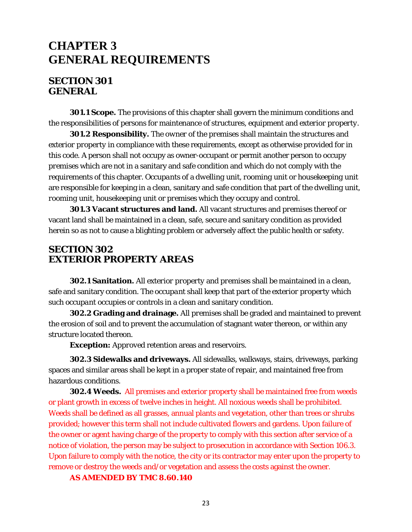# <span id="page-22-0"></span>**CHAPTER 3 GENERAL REQUIREMENTS**

## <span id="page-22-1"></span>**SECTION 301 GENERAL**

**301.1 Scope.** The provisions of this chapter shall govern the minimum conditions and the responsibilities of persons for maintenance of structures, equipment and *exterior property.*

**301.2 Responsibility.** The *owner* of the *premises* shall maintain the structures and *exterior property* in compliance with these requirements, except as otherwise provided for in this code. A person shall not occupy as owner-occupant or permit another person to occupy *premises* which are not in a sanitary and safe condition and which do not comply with the requirements of this chapter. *Occupants* of a *dwelling unit, rooming unit* or *housekeeping unit* are responsible for keeping in a clean, sanitary and safe condition that part of the *dwelling unit, rooming unit, housekeeping unit* or *premises* which they occupy and control.

**301.3 Vacant structures and land.** All vacant structures and *premises* thereof or vacant land shall be maintained in a clean, safe, secure and sanitary condition as provided herein so as not to cause a blighting problem or adversely affect the public health or safety.

# <span id="page-22-2"></span>**SECTION 302 EXTERIOR PROPERTY AREAS**

**302.1 Sanitation.** All *exterior property* and *premises* shall be maintained in a clean, safe and sanitary condition. The *occupant* shall keep that part of the *exterior property* which such *occupant* occupies or controls in a clean and sanitary condition.

**302.2 Grading and drainage.** All *premises* shall be graded and maintained to prevent the erosion of soil and to prevent the accumulation of stagnant water thereon, or within any structure located thereon.

**Exception:** *Approved* retention areas and reservoirs.

**302.3 Sidewalks and driveways.** All sidewalks, walkways, stairs, driveways, parking spaces and similar areas shall be kept in a proper state of repair, and maintained free from hazardous conditions.

**302.4 Weeds.** All premises and exterior property shall be maintained free from weeds or plant growth in excess of twelve inches in height. All noxious weeds shall be prohibited. Weeds shall be defined as all grasses, annual plants and vegetation, other than trees or shrubs provided; however this term shall not include cultivated flowers and gardens. Upon failure of the owner or agent having charge of the property to comply with this section after service of a notice of violation, the person may be subject to prosecution in accordance with Section 106.3. Upon failure to comply with the notice, the city or its contractor may enter upon the property to remove or destroy the weeds and/or vegetation and assess the costs against the owner.

**AS AMENDED BY TMC 8.60.140**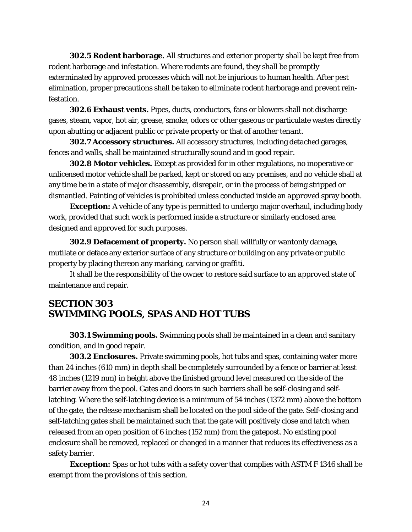**302.5 Rodent harborage.** All structures and *exterior property* shall be kept free from rodent harborage and *infestation.* Where rodents are found, they shall be promptly exterminated by *approved* processes which will not be injurious to human health. After pest elimination, proper precautions shall be taken to eliminate rodent harborage and prevent reinfestation.

**302.6 Exhaust vents.** Pipes, ducts, conductors, fans or blowers shall not discharge gases, steam, vapor, hot air, grease, smoke, odors or other gaseous or particulate wastes directly upon abutting or adjacent public or private property or that of another *tenant.*

**302.7 Accessory structures.** All accessory structures, including *detached* garages, fences and walls, shall be maintained structurally sound and in good repair.

**302.8 Motor vehicles.** Except as provided for in other regulations, no inoperative or unlicensed motor vehicle shall be parked, kept or stored on any *premises,* and no vehicle shall at any time be in a state of major disassembly, disrepair, or in the process of being stripped or dismantled. Painting of vehicles is prohibited unless conducted inside an *approved* spray booth.

**Exception:** A vehicle of any type is permitted to undergo major overhaul, including body work, provided that such work is performed inside a structure or similarly enclosed area designed and *approved* for such purposes.

**302.9 Defacement of property.** No person shall willfully or wantonly damage, mutilate or deface any exterior surface of any structure or building on any private or public property by placing thereon any marking, carving or graffiti.

It shall be the responsibility of the *owner* to restore said surface to an *approved* state of maintenance and repair.

## <span id="page-23-0"></span>**SECTION 303 SWIMMING POOLS, SPAS AND HOT TUBS**

**303.1 Swimming pools.** Swimming pools shall be maintained in a clean and sanitary condition, and in good repair.

**303.2 Enclosures.** Private swimming pools, hot tubs and spas, containing water more than 24 inches (610 mm) in depth shall be completely surrounded by a fence or barrier at least 48 inches (1219 mm) in height above the finished ground level measured on the side of the barrier away from the pool. Gates and doors in such barriers shall be self-closing and selflatching. Where the self-latching device is a minimum of 54 inches (1372 mm) above the bottom of the gate, the release mechanism shall be located on the pool side of the gate. Self-closing and self-latching gates shall be maintained such that the gate will positively close and latch when released from an open position of 6 inches (152 mm) from the gatepost. No existing pool enclosure shall be removed, replaced or changed in a manner that reduces its effectiveness as a safety barrier.

**Exception:** Spas or hot tubs with a safety cover that complies with ASTM F 1346 shall be exempt from the provisions of this section.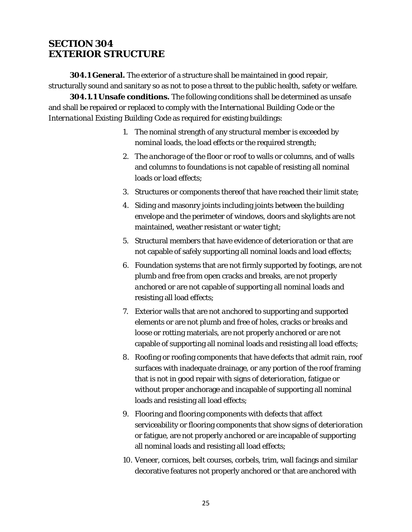# <span id="page-24-0"></span>**SECTION 304 EXTERIOR STRUCTURE**

**304.1 General.** The exterior of a structure shall be maintained in good repair, structurally sound and sanitary so as not to pose a threat to the public health, safety or welfare.

**304.1.1 Unsafe conditions.** The following conditions shall be determined as unsafe and shall be repaired or replaced to comply with the *International Building Code* or the *International Existing Building Code* as required for existing buildings:

- 1. The nominal strength of any structural member is exceeded by nominal loads, the load effects or the required strength;
- 2. The *anchorage* of the floor or roof to walls or columns, and of walls and columns to foundations is not capable of resisting all nominal loads or load effects;
- 3. Structures or components thereof that have reached their limit state;
- 4. Siding and masonry joints including joints between the building envelope and the perimeter of windows, doors and skylights are not maintained, weather resistant or water tight;
- 5. Structural members that have evidence of *deterioration* or that are not capable of safely supporting all nominal loads and load effects;
- 6. Foundation systems that are not firmly supported by footings, are not plumb and free from open cracks and breaks, are not properly *anchored* or are not capable of supporting all nominal loads and resisting all load effects;
- 7. Exterior walls that are not *anchored* to supporting and supported elements or are not plumb and free of holes, cracks or breaks and loose or rotting materials, are not properly *anchored* or are not capable of supporting all nominal loads and resisting all load effects;
- 8. Roofing or roofing components that have defects that admit rain, roof surfaces with inadequate drainage, or any portion of the roof framing that is not in good repair with signs of *deterioration,* fatigue or without proper anchorage and incapable of supporting all nominal loads and resisting all load effects;
- 9. Flooring and flooring components with defects that affect serviceability or flooring components that show signs of *deterioration* or fatigue, are not properly *anchored* or are incapable of supporting all nominal loads and resisting all load effects;
- 10. Veneer, cornices, belt courses, corbels, trim, wall facings and similar decorative features not properly anchored or that are anchored with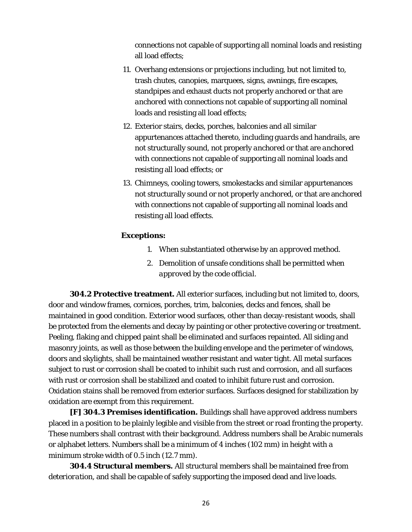connections not capable of supporting all nominal loads and resisting all load effects;

- 11. Overhang extensions or projections including, but not limited to, trash chutes, canopies, marquees, signs, awnings, fire escapes, standpipes and exhaust ducts not properly *anchored* or that are *anchored* with connections not capable of supporting all nominal loads and resisting all load effects;
- 12. Exterior stairs, decks, porches, balconies and all similar appurtenances attached thereto, including *guards* and handrails, are not structurally sound, not properly *anchored* or that are *anchored* with connections not capable of supporting all nominal loads and resisting all load effects; or
- 13. Chimneys, cooling towers, smokestacks and similar appurtenances not structurally sound or not properly *anchored,* or that are anchored with connections not capable of supporting all nominal loads and resisting all load effects.

### **Exceptions:**

- 1. When substantiated otherwise by an *approved* method.
- 2. Demolition of unsafe conditions shall be permitted when *approved* by the *code official.*

**304.2 Protective treatment.** All exterior surfaces, including but not limited to, doors, door and window frames, cornices, porches, trim, balconies, decks and fences, shall be maintained in good condition. Exterior wood surfaces, other than decay-resistant woods, shall be protected from the elements and decay by painting or other protective covering or treatment. Peeling, flaking and chipped paint shall be eliminated and surfaces repainted. All siding and masonry joints, as well as those between the building envelope and the perimeter of windows, doors and skylights, shall be maintained weather resistant and water tight. All metal surfaces subject to rust or corrosion shall be coated to inhibit such rust and corrosion, and all surfaces with rust or corrosion shall be stabilized and coated to inhibit future rust and corrosion. Oxidation stains shall be removed from exterior surfaces. Surfaces designed for stabilization by oxidation are exempt from this requirement.

**[F] 304.3 Premises identification.** Buildings shall have *approved* address numbers placed in a position to be plainly legible and visible from the street or road fronting the property. These numbers shall contrast with their background. Address numbers shall be Arabic numerals or alphabet letters. Numbers shall be a minimum of 4 inches (102 mm) in height with a minimum stroke width of 0.5 inch (12.7 mm).

**304.4 Structural members.** All structural members shall be maintained free from *deterioration,* and shall be capable of safely supporting the imposed dead and live loads.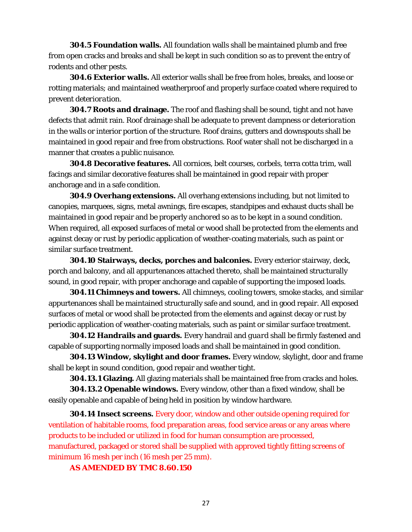**304.5 Foundation walls.** All foundation walls shall be maintained plumb and free from open cracks and breaks and shall be kept in such condition so as to prevent the entry of rodents and other pests.

**304.6 Exterior walls.** All exterior walls shall be free from holes, breaks, and loose or rotting materials; and maintained weatherproof and properly surface coated where required to prevent *deterioration.*

**304.7 Roots and drainage.** The roof and flashing shall be sound, tight and not have defects that admit rain. Roof drainage shall be adequate to prevent dampness or *deterioration* in the walls or interior portion of the structure. Roof drains, gutters and downspouts shall be maintained in good repair and free from obstructions. Roof water shall not be discharged in a manner that creates a public nuisance.

**304.8 Decorative features.** All cornices, belt courses, corbels, terra cotta trim, wall facings and similar decorative features shall be maintained in good repair with proper anchorage and in a safe condition.

**304.9 Overhang extensions.** All overhang extensions including, but not limited to canopies, marquees, signs, metal awnings, fire escapes, standpipes and exhaust ducts shall be maintained in good repair and be properly *anchored* so as to be kept in a sound condition. When required, all exposed surfaces of metal or wood shall be protected from the elements and against decay or rust by periodic application of weather-coating materials, such as paint or similar surface treatment.

**304.10 Stairways, decks, porches and balconies.** Every exterior stairway, deck, porch and balcony, and all appurtenances attached thereto, shall be maintained structurally sound, in good repair, with proper anchorage and capable of supporting the imposed loads.

**304.11 Chimneys and towers.** All chimneys, cooling towers, smoke stacks, and similar appurtenances shall be maintained structurally safe and sound, and in good repair. All exposed surfaces of metal or wood shall be protected from the elements and against decay or rust by periodic application of weather-coating materials, such as paint or similar surface treatment.

**304.12 Handrails and guards.** Every handrail and *guard* shall be firmly fastened and capable of supporting normally imposed loads and shall be maintained in good condition.

**304.13 Window, skylight and door frames.** Every window, skylight, door and frame shall be kept in sound condition, good repair and weather tight.

**304.13.1 Glazing.** All glazing materials shall be maintained free from cracks and holes.

**304.13.2 Openable windows.** Every window, other than a fixed window, shall be easily openable and capable of being held in position by window hardware.

**304.14 Insect screens.** Every door, window and other outside opening required for ventilation of habitable rooms, food preparation areas, food service areas or any areas where products to be included or utilized in food for human consumption are processed, manufactured, packaged or stored shall be supplied with approved tightly fitting screens of minimum 16 mesh per inch (16 mesh per 25 mm).

**AS AMENDED BY TMC 8.60.150**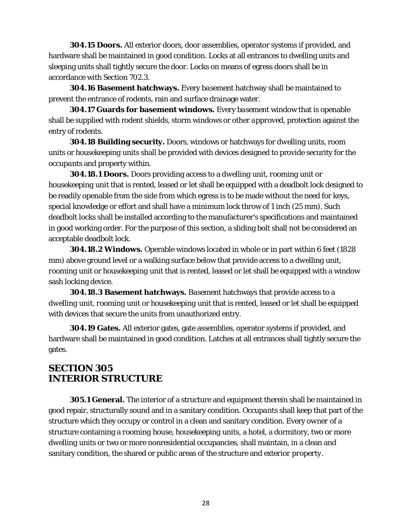**304.15 Doors.** All exterior doors, door assemblies, operator systems if provided, and hardware shall be maintained in good condition. Locks at all entrances to dwelling units and sleeping units shall tightly secure the door. Locks on means of egress doors shall be in accordance with Section 702.3.

**304.16 Basement hatchways.** Every *basement* hatchway shall be maintained to prevent the entrance of rodents, rain and surface drainage water.

**304.17 Guards for basement windows.** Every *basement* window that is openable shall be supplied with rodent shields, storm windows or other *approved,* protection against the entry of rodents.

**304.18 Building security.** Doors, windows or hatchways for *dwelling units,* room units or *housekeeping units* shall be provided with devices designed to provide security for the *occupants* and property within.

**304.18.1 Doors.** Doors providing access to a *dwelling unit, rooming unit* or *housekeeping unit* that is rented, leased or let shall be equipped with a deadbolt lock designed to be readily openable from the side from which egress is to be made without the need for keys, special knowledge or effort and shall have a minimum lock throw of 1 inch (25 mm). Such deadbolt locks shall be installed according to the manufacturer's specifications and maintained in good working order. For the purpose of this section, a sliding bolt shall not be considered an acceptable deadbolt lock.

**304.18.2 Windows.** Operable windows located in whole or in part within 6 feet (1828 mm) above ground level or a walking surface below that provide access to a *dwelling unit, rooming unit* or *housekeeping unit* that is rented, leased or let shall be equipped with a window sash locking device.

**304.18.3 Basement hatchways.** *Basement* hatchways that provide access to a *dwelling unit, rooming unit* or *housekeeping unit* that is rented, leased or let shall be equipped with devices that secure the units from unauthorized entry.

**304.19 Gates.** All exterior gates, gate assemblies, operator systems if provided, and hardware shall be maintained in good condition. Latches at all entrances shall tightly secure the gates.

# <span id="page-27-0"></span>**SECTION 305 INTERIOR STRUCTURE**

**305.1 General.** The interior of a structure and equipment therein shall be maintained in good repair, structurally sound and in a sanitary condition. *Occupants* shall keep that part of the structure which they occupy or control in a clean and sanitary condition. Every *owner* of a structure containing a *rooming house, housekeeping units,* a hotel, a dormitory, two or more *dwelling units* or two or more nonresidential occupancies, shall maintain, in a clean and sanitary condition, the shared or public areas of the structure and *exterior property.*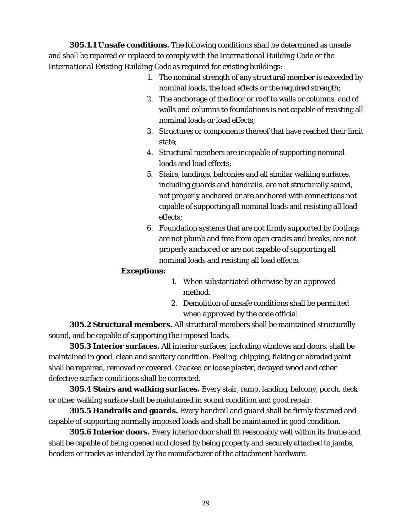**305.1.1 Unsafe conditions.** The following conditions shall be determined as unsafe and shall be repaired or replaced to comply with the *International Building Code* or the *International Existing Building Code* as required for existing buildings:

- 1. The nominal strength of any structural member is exceeded by nominal loads, the load effects or the required strength;
- 2. The anchorage of the floor or roof to walls or columns, and of walls and columns to foundations is not capable of resisting all nominal loads or load effects;
- 3. Structures or components thereof that have reached their limit state;
- 4. Structural members are incapable of supporting nominal loads and load effects;
- 5. Stairs, landings, balconies and all similar walking surfaces, including *guards* and handrails, are not structurally sound, not properly *anchored* or are *anchored* with connections not capable of supporting all nominal loads and resisting all load effects;
- 6. Foundation systems that are not firmly supported by footings are not plumb and free from open cracks and breaks, are not properly *anchored* or are not capable of supporting all nominal loads and resisting all load effects.

## **Exceptions:**

- 1. When substantiated otherwise by an *approved* method.
- 2. Demolition of unsafe conditions shall be permitted when *approved* by the *code official.*

**305.2 Structural members.** All structural members shall be maintained structurally sound, and be capable of supporting the imposed loads.

**305.3 Interior surfaces.** All interior surfaces, including windows and doors, shall be maintained in good, clean and sanitary condition. Peeling, chipping, flaking or abraded paint shall be repaired, removed or covered. Cracked or loose plaster, decayed wood and other defective surface conditions shall be corrected.

**305.4 Stairs and walking surfaces.** Every stair, ramp, landing, balcony, porch, deck or other walking surface shall be maintained in sound condition and good repair.

**305.5 Handrails and guards.** Every handrail and *guard* shall be firmly fastened and capable of supporting normally imposed loads and shall be maintained in good condition.

**305.6 Interior doors.** Every interior door shall fit reasonably well within its frame and shall be capable of being opened and closed by being properly and securely attached to jambs, headers or tracks as intended by the manufacturer of the attachment hardware.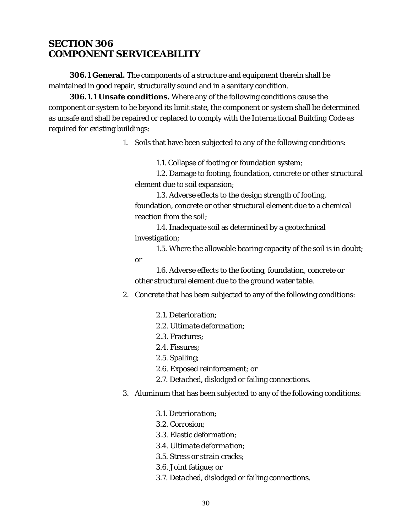# <span id="page-29-0"></span>**SECTION 306 COMPONENT SERVICEABILITY**

**306.1 General.** The components of a structure and equipment therein shall be maintained in good repair, structurally sound and in a sanitary condition.

**306.1.1 Unsafe conditions.** Where any of the following conditions cause the component or system to be beyond its limit state, the component or system shall be determined as unsafe and shall be repaired or replaced to comply with the *International Building Code* as required for existing buildings:

1. Soils that have been subjected to any of the following conditions:

1.1. Collapse of footing or foundation system;

1.2. Damage to footing, foundation, concrete or other structural element due to soil expansion;

1.3. Adverse effects to the design strength of footing, foundation, concrete or other structural element due to a chemical reaction from the soil;

1.4. Inadequate soil as determined by a geotechnical investigation;

1.5. Where the allowable bearing capacity of the soil is in doubt; or

1.6. Adverse effects to the footing, foundation, concrete or other structural element due to the ground water table.

- 2. Concrete that has been subjected to any of the following conditions:
	- 2.1. *Deterioration;*
	- 2.2. *Ultimate deformation;*
	- 2.3. Fractures;
	- 2.4. Fissures;
	- 2.5. Spalling;
	- 2.6. Exposed reinforcement; or
	- 2.7. *Detached,* dislodged or failing connections.
- 3. Aluminum that has been subjected to any of the following conditions:
	- 3.1. *Deterioration;*
	- 3.2. Corrosion;
	- 3.3. Elastic deformation;
	- 3.4. *Ultimate deformation;*
	- 3.5. Stress or strain cracks;
	- 3.6. Joint fatigue; or
	- 3.7. *Detached,* dislodged or failing connections.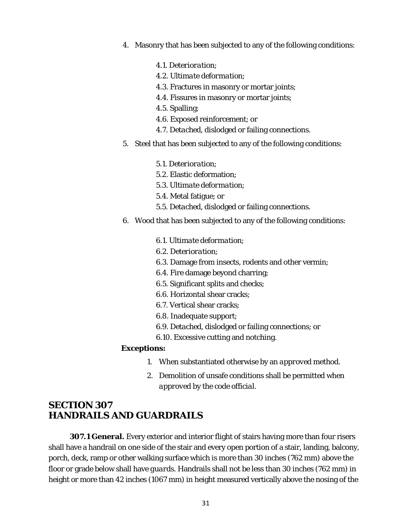- 4. Masonry that has been subjected to any of the following conditions:
	- 4.1. *Deterioration;*
	- 4.2. *Ultimate deformation;*
	- 4.3. Fractures in masonry or mortar joints;
	- 4.4. Fissures in masonry or mortar joints;
	- 4.5. Spalling;
	- 4.6. Exposed reinforcement; or
	- 4.7. *Detached,* dislodged or failing connections.
- 5. Steel that has been subjected to any of the following conditions:
	- 5.1. *Deterioration;*
	- 5.2. Elastic deformation;
	- 5.3. *Ultimate deformation;*
	- 5.4. Metal fatigue; or
	- 5.5. *Detached,* dislodged or failing connections.
- 6. Wood that has been subjected to any of the following conditions:
	- 6.1. *Ultimate deformation;*
	- 6.2. *Deterioration;*
	- 6.3. Damage from insects, rodents and other vermin;
	- 6.4. Fire damage beyond charring;
	- 6.5. Significant splits and checks;
	- 6.6. Horizontal shear cracks;
	- 6.7. Vertical shear cracks;
	- 6.8. Inadequate support;
	- 6.9. *Detached,* dislodged or failing connections; or
	- 6.10. Excessive cutting and notching.

#### **Exceptions:**

- 1. When substantiated otherwise by an *approved* method.
- 2. Demolition of unsafe conditions shall be permitted when *approved* by the *code official.*

## <span id="page-30-0"></span>**SECTION 307 HANDRAILS AND GUARDRAILS**

**307.1 General.** Every exterior and interior flight of stairs having more than four risers shall have a handrail on one side of the stair and every open portion of a stair, landing, balcony, porch, deck, ramp or other walking surface which is more than 30 inches (762 mm) above the floor or grade below shall have *guards.* Handrails shall not be less than 30 inches (762 mm) in height or more than 42 inches (1067 mm) in height measured vertically above the nosing of the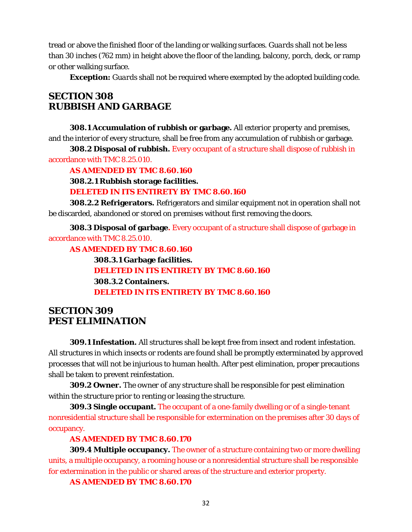tread or above the finished floor of the landing or walking surfaces. *Guards* shall not be less than 30 inches (762 mm) in height above the floor of the landing, balcony, porch, deck, or ramp or other walking surface.

**Exception:** *Guards* shall not be required where exempted by the adopted building code.

# <span id="page-31-0"></span>**SECTION 308 RUBBISH AND GARBAGE**

**308.1 Accumulation of rubbish or garbage.** All *exterior property* and *premises,* and the interior of every structure, shall be free from any accumulation of *rubbish* or garbage.

**308.2 Disposal of rubbish.** Every occupant of a structure shall dispose of rubbish in accordance with TMC 8.25.010.

## **AS AMENDED BY TMC 8.60.160**

**308.2.1 Rubbish storage facilities.**

### **DELETED IN ITS ENTIRETY BY TMC 8.60.160**

**308.2.2 Refrigerators.** Refrigerators and similar equipment not in operation shall not be discarded, abandoned or stored on *premises* without first removing the doors.

**308.3 Disposal of garbage.** Every occupant of a structure shall dispose of garbage in accordance with TMC 8.25.010.

## **AS AMENDED BY TMC 8.60.160**

**308.3.1 Garbage facilities. DELETED IN ITS ENTIRETY BY TMC 8.60.160 308.3.2 Containers. DELETED IN ITS ENTIRETY BY TMC 8.60.160**

## <span id="page-31-1"></span>**SECTION 309 PEST ELIMINATION**

**309.1 Infestation.** All structures shall be kept free from insect and rodent *infestation.* All structures in which insects or rodents are found shall be promptly exterminated by *approved* processes that will not be injurious to human health. After pest elimination, proper precautions shall be taken to prevent reinfestation.

**309.2 Owner.** The *owner* of any structure shall be responsible for pest elimination within the structure prior to renting or leasing the structure.

**309.3 Single occupant.** The occupant of a one-family dwelling or of a single-tenant nonresidential structure shall be responsible for extermination on the premises after 30 days of occupancy.

## **AS AMENDED BY TMC 8.60.170**

**309.4 Multiple occupancy.** The owner of a structure containing two or more dwelling units, a multiple occupancy, a rooming house or a nonresidential structure shall be responsible for extermination in the public or shared areas of the structure and exterior property.

**AS AMENDED BY TMC 8.60.170**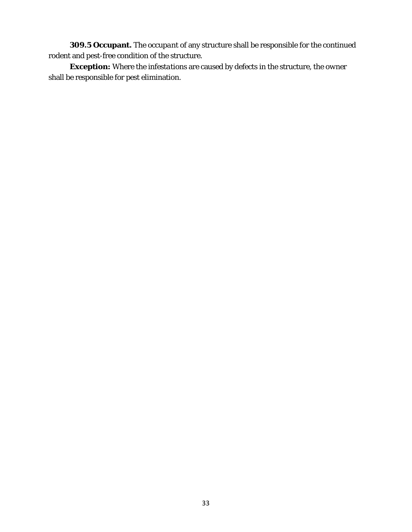**309.5 Occupant.** The *occupant* of any structure shall be responsible for the continued rodent and pest-free condition of the structure.

**Exception:** Where the *infestations* are caused by defects in the structure, the *owner* shall be responsible for pest elimination.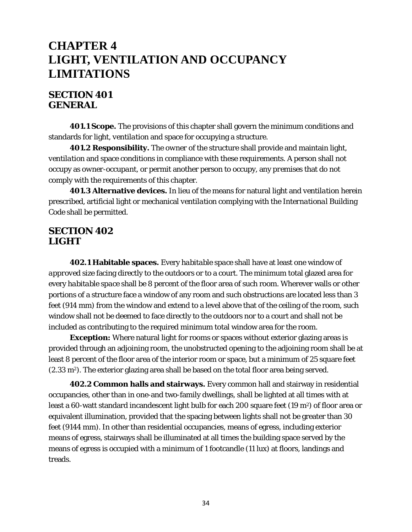# <span id="page-33-0"></span>**CHAPTER 4 LIGHT, VENTILATION AND OCCUPANCY LIMITATIONS**

## <span id="page-33-1"></span>**SECTION 401 GENERAL**

**401.1 Scope.** The provisions of this chapter shall govern the minimum conditions and standards for light, *ventilation* and space for occupying a structure.

**401.2 Responsibility.** The *owner* of the structure shall provide and maintain light, *ventilation* and space conditions in compliance with these requirements. A person shall not occupy as *owner-occupant,* or permit another person to occupy, any *premises* that do not comply with the requirements of this chapter.

**401.3 Alternative devices.** In lieu of the means for natural light and *ventilation* herein prescribed, artificial light or mechanical *ventilation* complying with the *International Building Code* shall be permitted.

## <span id="page-33-2"></span>**SECTION 402 LIGHT**

**402.1 Habitable spaces.** Every *habitable space* shall have at least one window of *approved* size facing directly to the outdoors or to a court. The minimum total glazed area for every *habitable space* shall be 8 percent of the floor area of such room. Wherever walls or other portions of a structure face a window of any room and such obstructions are located less than 3 feet (914 mm) from the window and extend to a level above that of the ceiling of the room, such window shall not be deemed to face directly to the outdoors nor to a court and shall not be included as contributing to the required minimum total window area for the room.

**Exception:** Where natural light for rooms or spaces without exterior glazing areas is provided through an adjoining room, the unobstructed opening to the adjoining room shall be at least 8 percent of the floor area of the interior room or space, but a minimum of 25 square feet  $(2.33 \text{ m}^2)$ . The exterior glazing area shall be based on the total floor area being served.

**402.2 Common halls and stairways.** Every common hall and stairway in residential occupancies, other than in one-and two-family dwellings, shall be lighted at all times with at least a 60-watt standard incandescent light bulb for each 200 square feet (19 m<sup>2</sup>) of floor area or equivalent illumination, provided that the spacing between lights shall not be greater than 30 feet (9144 mm). In other than residential occupancies, means of egress, including exterior means of egress, stairways shall be illuminated at all times the building space served by the means of egress is occupied with a minimum of 1 footcandle (11 lux) at floors, landings and treads.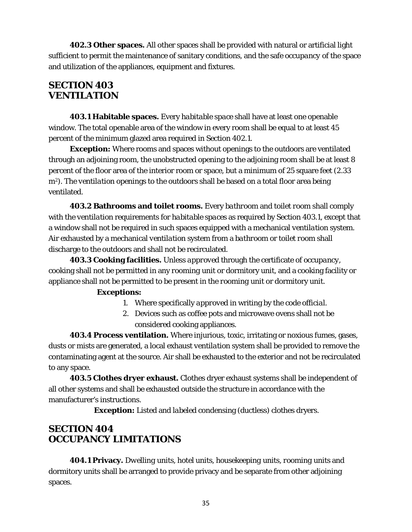**402.3 Other spaces.** All other spaces shall be provided with natural or artificial light sufficient to permit the maintenance of sanitary conditions, and the safe *occupancy* of the space and utilization of the appliances, equipment and fixtures.

## <span id="page-34-0"></span>**SECTION 403 VENTILATION**

**403.1 Habitable spaces.** Every *habitable space* shall have at least one openable window. The total openable area of the window in every room shall be equal to at least 45 percent of the minimum glazed area required in Section 402.1.

**Exception:** Where rooms and spaces without openings to the outdoors are ventilated through an adjoining room, the unobstructed opening to the adjoining room shall be at least 8 percent of the floor area of the interior room or space, but a minimum of 25 square feet (2.33 m2). The *ventilation* openings to the outdoors shall be based on a total floor area being ventilated.

**403.2 Bathrooms and toilet rooms.** Every *bathroom* and *toilet room* shall comply with the *ventilation* requirements for *habitable spaces* as required by Section 403.1, except that a window shall not be required in such spaces equipped with a mechanical *ventilation* system. Air exhausted by a mechanical *ventilation* system from a *bathroom* or *toilet room* shall discharge to the outdoors and shall not be recirculated.

**403.3 Cooking facilities.** Unless *approved* through the certificate of *occupancy,* cooking shall not be permitted in any *rooming unit* or dormitory unit, and a cooking facility or appliance shall not be permitted to be present in the *rooming unit* or dormitory unit.

## **Exceptions:**

- 1. Where specifically *approved* in writing by the *code official.*
- 2. Devices such as coffee pots and microwave ovens shall not be considered cooking appliances.

**403.4 Process ventilation.** Where injurious, toxic, irritating or noxious fumes, gases, dusts or mists are generated, a local exhaust *ventilation* system shall be provided to remove the contaminating agent at the source. Air shall be exhausted to the exterior and not be recirculated to any space.

**403.5 Clothes dryer exhaust.** Clothes dryer exhaust systems shall be independent of all other systems and shall be exhausted outside the structure in accordance with the manufacturer's instructions.

**Exception:** Listed and *labeled* condensing (ductless) clothes dryers.

# <span id="page-34-1"></span>**SECTION 404 OCCUPANCY LIMITATIONS**

**404.1 Privacy.** *Dwelling units,* hotel units, *housekeeping units, rooming units* and dormitory units shall be arranged to provide privacy and be separate from other adjoining spaces.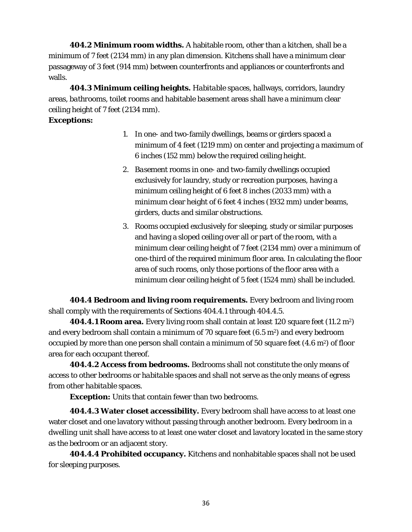**404.2 Minimum room widths.** A habitable room, other than a kitchen, shall be a minimum of 7 feet (2134 mm) in any plan dimension. Kitchens shall have a minimum clear passageway of 3 feet (914 mm) between counterfronts and appliances or counterfronts and walls.

**404.3 Minimum ceiling heights.** *Habitable spaces,* hallways, corridors, laundry areas, *bathrooms, toilet rooms* and habitable *basement* areas shall have a minimum clear ceiling height of 7 feet (2134 mm).

### **Exceptions:**

- 1. In one- and two-family dwellings, beams or girders spaced a minimum of 4 feet (1219 mm) on center and projecting a maximum of 6 inches (152 mm) below the required ceiling height.
- 2. *Basement* rooms in one- and two-family dwellings occupied exclusively for laundry, study or recreation purposes, having a minimum ceiling height of 6 feet 8 inches (2033 mm) with a minimum clear height of 6 feet 4 inches (1932 mm) under beams, girders, ducts and similar obstructions.
- 3. Rooms occupied exclusively for sleeping, study or similar purposes and having a sloped ceiling over all or part of the room, with a minimum clear ceiling height of 7 feet (2134 mm) over a minimum of one-third of the required minimum floor area. In calculating the floor area of such rooms, only those portions of the floor area with a minimum clear ceiling height of 5 feet (1524 mm) shall be included.

**404.4 Bedroom and living room requirements.** Every *bedroom* and living room shall comply with the requirements of Sections 404.4.1 through 404.4.5.

**404.4.1 Room area.** Every living room shall contain at least 120 square feet (11.2 m<sup>2</sup>) and every bedroom shall contain a minimum of 70 square feet (6.5 m2) and every bedroom occupied by more than one person shall contain a minimum of 50 square feet  $(4.6 \text{ m}^2)$  of floor area for each occupant thereof.

**404.4.2 Access from bedrooms.** *Bedrooms* shall not constitute the only means of access to other *bedrooms* or *habitable spaces* and shall not serve as the only means of egress from other *habitable spaces.*

**Exception:** Units that contain fewer than two *bedrooms.*

**404.4.3 Water closet accessibility.** Every *bedroom* shall have access to at least one water closet and one lavatory without passing through another *bedroom.* Every *bedroom* in a *dwelling unit* shall have access to at least one water closet and lavatory located in the same story as the *bedroom* or an adjacent story.

**404.4.4 Prohibited occupancy.** Kitchens and nonhabitable spaces shall not be used for sleeping purposes.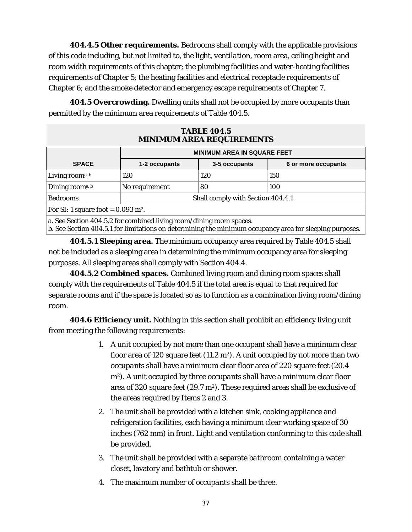**404.4.5 Other requirements.** *Bedrooms* shall comply with the applicable provisions of this code including, but not limited to, the light, *ventilation,* room area, ceiling height and room width requirements of this chapter; the plumbing facilities and water-heating facilities requirements of Chapter 5; the heating facilities and electrical receptacle requirements of Chapter 6; and the smoke detector and emergency escape requirements of Chapter 7.

**404.5 Overcrowding.** Dwelling units shall not be occupied by more occupants than permitted by the minimum area requirements of Table 404.5.

| <b>TABLE 404.5</b><br><b>MINIMUM AREA REQUIREMENTS</b>            |                                    |               |                     |
|-------------------------------------------------------------------|------------------------------------|---------------|---------------------|
|                                                                   | <b>MINIMUM AREA IN SQUARE FEET</b> |               |                     |
| <b>SPACE</b>                                                      | 1-2 occupants                      | 3-5 occupants | 6 or more occupants |
| Living room <sup>a, b</sup>                                       | 120                                | 120           | 150                 |
| Dining room <sup>a, b</sup>                                       | No requirement                     | 80            | 100                 |
| <b>Bedrooms</b>                                                   | Shall comply with Section 404.4.1  |               |                     |
| For SI: 1 square foot = $0.093$ m <sup>2</sup> .                  |                                    |               |                     |
| 2 See Section 404 5.2 for combined living room/dining room spaces |                                    |               |                     |

tor combined living room/dining room spaces. b. See Section 404.5.1 for limitations on determining the minimum occupancy area for sleeping purposes.

**404.5.1 Sleeping area.** The minimum occupancy area required by Table 404.5 shall not be included as a sleeping area in determining the minimum occupancy area for sleeping purposes. All sleeping areas shall comply with Section 404.4.

**404.5.2 Combined spaces.** Combined living room and dining room spaces shall comply with the requirements of Table 404.5 if the total area is equal to that required for separate rooms and if the space is located so as to function as a combination living room/dining room.

**404.6 Efficiency unit.** Nothing in this section shall prohibit an efficiency living unit from meeting the following requirements:

- 1. A unit occupied by not more than one occupant shall have a minimum clear floor area of 120 square feet  $(11.2 \text{ m}^2)$ . A unit occupied by not more than two *occupants* shall have a minimum clear floor area of 220 square feet (20.4 m2). A unit occupied by three *occupants* shall have a minimum clear floor area of 320 square feet (29.7 m2). These required areas shall be exclusive of the areas required by Items 2 and 3.
- 2. The unit shall be provided with a kitchen sink, cooking appliance and refrigeration facilities, each having a minimum clear working space of 30 inches (762 mm) in front. Light and *ventilation* conforming to this code shall be provided.
- 3. The unit shall be provided with a separate *bathroom* containing a water closet, lavatory and bathtub or shower.
- 4. The maximum number of *occupants* shall be three.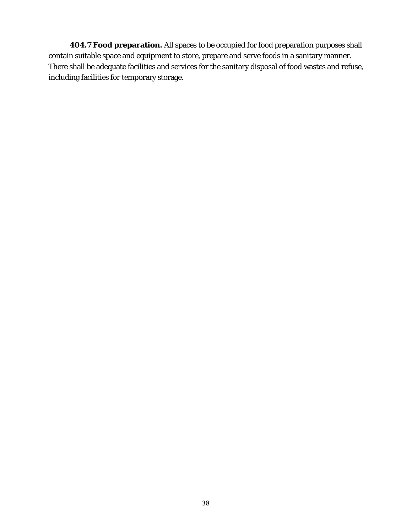**404.7 Food preparation.** All spaces to be occupied for food preparation purposes shall contain suitable space and equipment to store, prepare and serve foods in a sanitary manner. There shall be adequate facilities and services for the sanitary disposal of food wastes and refuse, including facilities for temporary storage.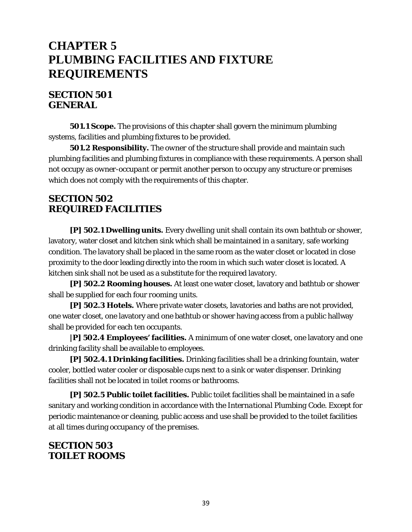## **CHAPTER 5 PLUMBING FACILITIES AND FIXTURE REQUIREMENTS**

### **SECTION 501 GENERAL**

**501.1 Scope.** The provisions of this chapter shall govern the minimum plumbing systems, facilities and plumbing fixtures to be provided.

**501.2 Responsibility.** The *owner* of the structure shall provide and maintain such plumbing facilities and plumbing fixtures in compliance with these requirements. A person shall not occupy as *owner-occupant* or permit another person to occupy any structure or *premises* which does not comply with the requirements of this chapter.

### **SECTION 502 REQUIRED FACILITIES**

**[P] 502.1 Dwelling units.** Every *dwelling unit* shall contain its own bathtub or shower, lavatory, water closet and kitchen sink which shall be maintained in a sanitary, safe working condition. The lavatory shall be placed in the same room as the water closet or located in close proximity to the door leading directly into the room in which such water closet is located. A kitchen sink shall not be used as a substitute for the required lavatory.

**[P] 502.2 Rooming houses.** At least one water closet, lavatory and bathtub or shower shall be supplied for each four *rooming units.*

**[P] 502.3 Hotels.** Where private water closets, lavatories and baths are not provided, one water closet, one lavatory and one bathtub or shower having access from a public hallway shall be provided for each ten *occupants.*

**|P] 502.4 Employees' facilities.** A minimum of one water closet, one lavatory and one drinking facility shall be available to employees.

**[P] 502.4.1 Drinking facilities.** Drinking facilities shall be a drinking fountain, water cooler, bottled water cooler or disposable cups next to a sink or water dispenser. Drinking facilities shall not be located in *toilet rooms* or *bathrooms.*

**[P] 502.5 Public toilet facilities.** Public toilet facilities shall be maintained in a safe sanitary and working condition in accordance with the *International Plumbing Code.* Except for periodic maintenance or cleaning, public access and use shall be provided to the toilet facilities at all times during *occupancy* of the *premises.*

## **SECTION 503 TOILET ROOMS**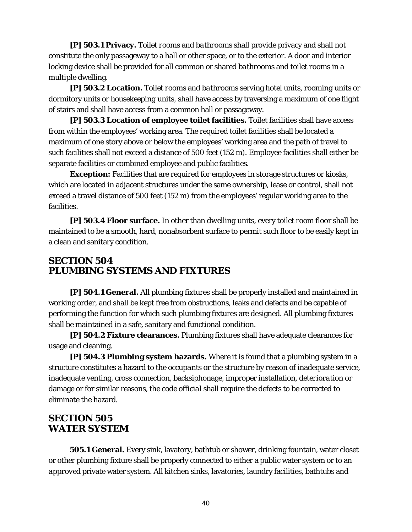**[P] 503.1 Privacy.** *Toilet rooms* and *bathrooms* shall provide privacy and shall not constitute the only passageway to a hall or other space, or to the exterior. A door and interior locking device shall be provided for all common or shared *bathrooms* and *toilet rooms* in a multiple dwelling.

**[P] 503.2 Location.** *Toilet rooms* and *bathrooms* serving hotel units, *rooming units* or dormitory units or *housekeeping units,* shall have access by traversing a maximum of one flight of stairs and shall have access from a common hall or passageway.

**[P] 503.3 Location of employee toilet facilities.** Toilet facilities shall have access from within the employees' working area. The required toilet facilities shall be located a maximum of one story above or below the employees' working area and the path of travel to such facilities shall not exceed a distance of 500 feet (152 m). Employee facilities shall either be separate facilities or combined employee and public facilities.

**Exception:** Facilities that are required for employees in storage structures or kiosks, which are located in adjacent structures under the same ownership, lease or control, shall not exceed a travel distance of 500 feet (152 m) from the employees' regular working area to the facilities.

**[P] 503.4 Floor surface.** In other than *dwelling units,* every *toilet room* floor shall be maintained to be a smooth, hard, nonabsorbent surface to permit such floor to be easily kept in a clean and sanitary condition.

## **SECTION 504 PLUMBING SYSTEMS AND FIXTURES**

**[P] 504.1 General.** All plumbing fixtures shall be properly installed and maintained in working order, and shall be kept free from obstructions, leaks and defects and be capable of performing the function for which such plumbing fixtures are designed. All plumbing fixtures shall be maintained in a safe, sanitary and functional condition.

**[P] 504.2 Fixture clearances.** Plumbing fixtures shall have adequate clearances for usage and cleaning.

**[P] 504.3 Plumbing system hazards.** Where it is found that a plumbing system in a structure constitutes a hazard to the *occupants* or the structure by reason of inadequate service, inadequate venting, cross connection, backsiphonage, improper installation, *deterioration* or damage or for similar reasons, the *code official* shall require the defects to be corrected to eliminate the hazard.

## **SECTION 505 WATER SYSTEM**

**505.1 General.** Every sink, lavatory, bathtub or shower, drinking fountain, water closet or other plumbing fixture shall be properly connected to either a public water system or to an *approved* private water system. All kitchen sinks, lavatories, laundry facilities, bathtubs and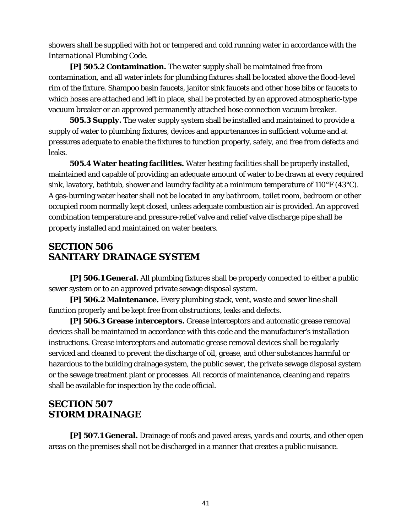showers shall be supplied with hot or tempered and cold running water in accordance with the *International Plumbing Code.*

**[P] 505.2 Contamination.** The water supply shall be maintained free from contamination, and all water inlets for plumbing fixtures shall be located above the flood-level rim of the fixture. Shampoo basin faucets, janitor sink faucets and other hose bibs or faucets to which hoses are attached and left in place, shall be protected by an approved atmospheric-type vacuum breaker or an approved permanently attached hose connection vacuum breaker.

**505.3 Supply.** The water supply system shall be installed and maintained to provide a supply of water to plumbing fixtures, devices and appurtenances in sufficient volume and at pressures adequate to enable the fixtures to function properly, safely, and free from defects and leaks.

**505.4 Water heating facilities.** Water heating facilities shall be properly installed, maintained and capable of providing an adequate amount of water to be drawn at every required sink, lavatory, bathtub, shower and laundry facility at a minimum temperature of 110°F (43°C). A gas-burning water heater shall not be located in any *bathroom, toilet room, bedroom* or other occupied room normally kept closed, unless adequate combustion air is provided. An *approved* combination temperature and pressure-relief valve and relief valve discharge pipe shall be properly installed and maintained on water heaters.

## **SECTION 506 SANITARY DRAINAGE SYSTEM**

**[P] 506.1 General.** All plumbing fixtures shall be properly connected to either a public sewer system or to an *approved* private sewage disposal system.

**[P] 506.2 Maintenance.** Every plumbing stack, vent, waste and sewer line shall function properly and be kept free from obstructions, leaks and defects.

**[P] 506.3 Grease interceptors.** Grease interceptors and automatic grease removal devices shall be maintained in accordance with this code and the manufacturer's installation instructions. Grease interceptors and automatic grease removal devices shall be regularly serviced and cleaned to prevent the discharge of oil, grease, and other substances harmful or hazardous to the building drainage system, the public sewer, the private sewage disposal system or the sewage treatment plant or processes. All records of maintenance, cleaning and repairs shall be available for inspection by the code official.

### **SECTION 507 STORM DRAINAGE**

**[P] 507.1 General.** Drainage of roofs and paved areas, *yards* and courts, and other open areas on the *premises* shall not be discharged in a manner that creates a public nuisance.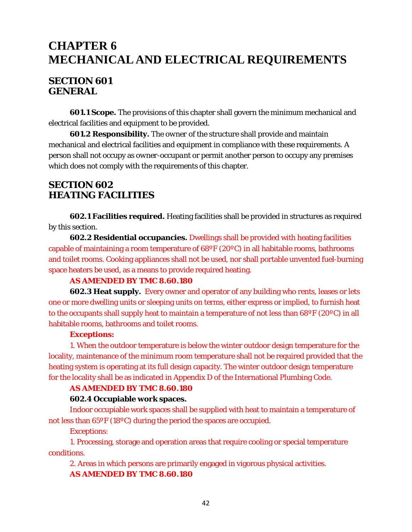# **CHAPTER 6 MECHANICAL AND ELECTRICAL REQUIREMENTS**

### **SECTION 601 GENERAL**

**601.1 Scope.** The provisions of this chapter shall govern the minimum mechanical and electrical facilities and equipment to be provided.

**601.2 Responsibility.** The *owner* of the structure shall provide and maintain mechanical and electrical facilities and equipment in compliance with these requirements. A person shall not occupy as *owner-occupant* or permit another person to occupy any *premises* which does not comply with the requirements of this chapter.

## **SECTION 602 HEATING FACILITIES**

**602.1 Facilities required.** Heating facilities shall be provided in structures as required by this section.

**602.2 Residential occupancies.** Dwellings shall be provided with heating facilities capable of maintaining a room temperature of 68ºF (20ºC) in all habitable rooms, bathrooms and toilet rooms. Cooking appliances shall not be used, nor shall portable unvented fuel-burning space heaters be used, as a means to provide required heating.

#### **AS AMENDED BY TMC 8.60.180**

**602.3 Heat supply.** Every owner and operator of any building who rents, leases or lets one or more dwelling units or sleeping units on terms, either express or implied, to furnish heat to the occupants shall supply heat to maintain a temperature of not less than 68ºF (20ºC) in all habitable rooms, bathrooms and toilet rooms.

#### **Exceptions:**

1. When the outdoor temperature is below the winter outdoor design temperature for the locality, maintenance of the minimum room temperature shall not be required provided that the heating system is operating at its full design capacity. The winter outdoor design temperature for the locality shall be as indicated in Appendix D of the International Plumbing Code.

#### **AS AMENDED BY TMC 8.60.180**

#### **602.4 Occupiable work spaces.**

Indoor occupiable work spaces shall be supplied with heat to maintain a temperature of not less than 65ºF (18ºC) during the period the spaces are occupied.

Exceptions:

1. Processing, storage and operation areas that require cooling or special temperature conditions.

2. Areas in which persons are primarily engaged in vigorous physical activities.

#### **AS AMENDED BY TMC 8.60.180**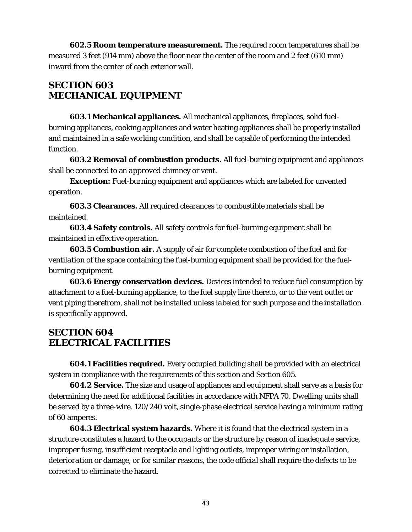**602.5 Room temperature measurement.** The required room temperatures shall be measured 3 feet (914 mm) above the floor near the center of the room and 2 feet (610 mm) inward from the center of each exterior wall.

## **SECTION 603 MECHANICAL EQUIPMENT**

**603.1 Mechanical appliances.** All mechanical appliances, fireplaces, solid fuelburning appliances, cooking appliances and water heating appliances shall be properly installed and maintained in a safe working condition, and shall be capable of performing the intended function.

**603.2 Removal of combustion products.** All fuel-burning equipment and appliances shall be connected to an *approved* chimney or vent.

**Exception:** Fuel-burning equipment and appliances which are *labeled* for unvented operation.

**603.3 Clearances.** All required clearances to combustible materials shall be maintained.

**603.4 Safety controls.** All safety controls for fuel-burning equipment shall be maintained in effective operation.

**603.5 Combustion air.** A supply of air for complete combustion of the fuel and for *ventilation* of the space containing the fuel-burning equipment shall be provided for the fuelburning equipment.

**603.6 Energy conservation devices.** Devices intended to reduce fuel consumption by attachment to a fuel-burning appliance, to the fuel supply line thereto, or to the vent outlet or vent piping therefrom, shall not be installed unless *labeled* for such purpose and the installation is specifically *approved.*

## **SECTION 604 ELECTRICAL FACILITIES**

**604.1 Facilities required.** Every occupied building shall be provided with an electrical system in compliance with the requirements of this section and Section 605.

**604.2 Service.** The size and usage of appliances and equipment shall serve as a basis for determining the need for additional facilities in accordance with NFPA 70. *Dwelling units* shall be served by a three-wire. 120/240 volt, single-phase electrical service having a minimum rating of 60 amperes.

**604.3 Electrical system hazards.** Where it is found that the electrical system in a structure constitutes a hazard to the *occupants* or the structure by reason of inadequate service, improper fusing, insufficient receptacle and lighting outlets, improper wiring or installation, *deterioration* or damage, or for similar reasons, the *code official* shall require the defects to be corrected to eliminate the hazard.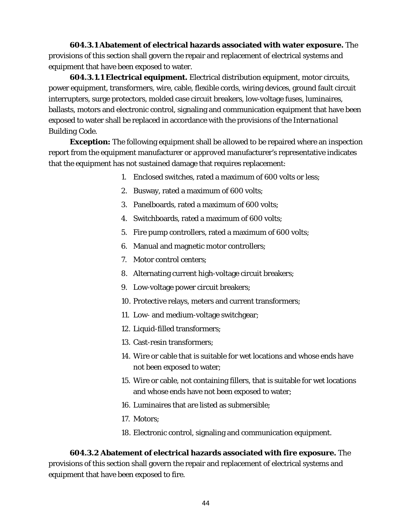# **604.3.1 Abatement of electrical hazards associated with water exposure.** The

provisions of this section shall govern the repair and replacement of electrical systems and equipment that have been exposed to water.

**604.3.1.1 Electrical equipment.** Electrical distribution equipment, motor circuits, power equipment, transformers, wire, cable, flexible cords, wiring devices, ground fault circuit interrupters, surge protectors, molded case circuit breakers, low-voltage fuses, luminaires, ballasts, motors and electronic control, signaling and communication equipment that have been exposed to water shall be replaced in accordance with the provisions of the *International Building Code.*

**Exception:** The following equipment shall be allowed to be repaired where an inspection report from the equipment manufacturer or *approved* manufacturer's representative indicates that the equipment has not sustained damage that requires replacement:

- 1. Enclosed switches, rated a maximum of 600 volts or less;
- 2. Busway, rated a maximum of 600 volts;
- 3. Panelboards, rated a maximum of 600 volts;
- 4. Switchboards, rated a maximum of 600 volts;
- 5. Fire pump controllers, rated a maximum of 600 volts;
- 6. Manual and magnetic motor controllers;
- 7. Motor control centers;
- 8. Alternating current high-voltage circuit breakers;
- 9. Low-voltage power circuit breakers;
- 10. Protective relays, meters and current transformers;
- 11. Low- and medium-voltage switchgear;
- 12. Liquid-filled transformers;
- 13. Cast-resin transformers;
- 14. Wire or cable that is suitable for wet locations and whose ends have not been exposed to water;
- 15. Wire or cable, not containing fillers, that is suitable for wet locations and whose ends have not been exposed to water;
- 16. Luminaires that are listed as submersible;
- 17. Motors;
- 18. Electronic control, signaling and communication equipment.

**604.3.2 Abatement of electrical hazards associated with fire exposure.** The provisions of this section shall govern the repair and replacement of electrical systems and equipment that have been exposed to fire.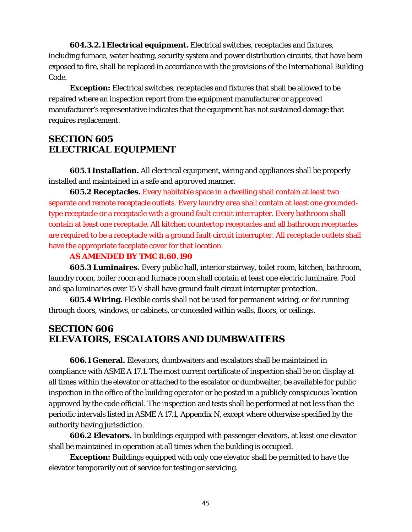**604.3.2.1 Electrical equipment.** Electrical switches, receptacles and fixtures, including furnace, water heating, security system and power distribution circuits, that have been exposed to fire, shall be replaced in accordance with the provisions of the *International Building Code.*

**Exception:** Electrical switches, receptacles and fixtures that shall be allowed to be repaired where an inspection report from the equipment manufacturer or *approved* manufacturer's representative indicates that the equipment has not sustained damage that requires replacement.

## **SECTION 605 ELECTRICAL EQUIPMENT**

**605.1 Installation.** All electrical equipment, wiring and appliances shall be properly installed and maintained in a safe and *approved* manner.

**605.2 Receptacles.** Every habitable space in a dwelling shall contain at least two separate and remote receptacle outlets. Every laundry area shall contain at least one groundedtype receptacle or a receptacle with a ground fault circuit interrupter. Every bathroom shall contain at least one receptacle. All kitchen countertop receptacles and all bathroom receptacles are required to be a receptacle with a ground fault circuit interrupter. All receptacle outlets shall have the appropriate faceplate cover for that location.

#### **AS AMENDED BY TMC 8.60.190**

**605.3 Luminaires.** Every public hall, interior stairway, *toilet room,* kitchen, *bathroom,* laundry room, boiler room and furnace room shall contain at least one electric luminaire. Pool and spa luminaries over 15 V shall have ground fault circuit interrupter protection.

**605.4 Wiring.** Flexible cords shall not be used for permanent wiring, or for running through doors, windows, or cabinets, or concealed within walls, floors, or ceilings.

## **SECTION 606 ELEVATORS, ESCALATORS AND DUMBWAITERS**

**606.1 General.** Elevators, dumbwaiters and escalators shall be maintained in compliance with ASME A 17.1. The most current certificate of inspection shall be on display at all times within the elevator or attached to the escalator or dumbwaiter, be available for public inspection in the office of the building *operator* or be posted in a publicly conspicuous location *approved* by the *code official.* The inspection and tests shall be performed at not less than the periodic intervals listed in ASME A 17.1, Appendix N, except where otherwise specified by the authority having jurisdiction.

**606.2 Elevators.** In buildings equipped with passenger elevators, at least one elevator shall be maintained in operation at all times when the building is occupied.

**Exception:** Buildings equipped with only one elevator shall be permitted to have the elevator temporarily out of service for testing or servicing.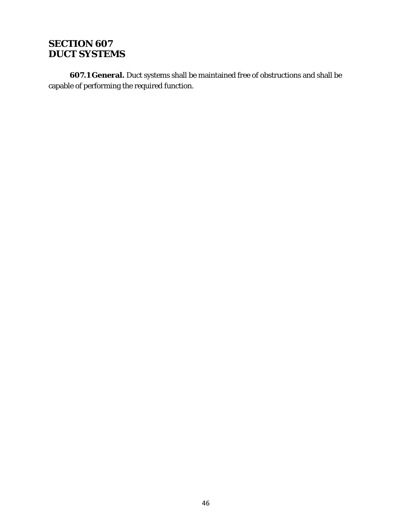## **SECTION 607 DUCT SYSTEMS**

**607.1 General.** Duct systems shall be maintained free of obstructions and shall be capable of performing the required function.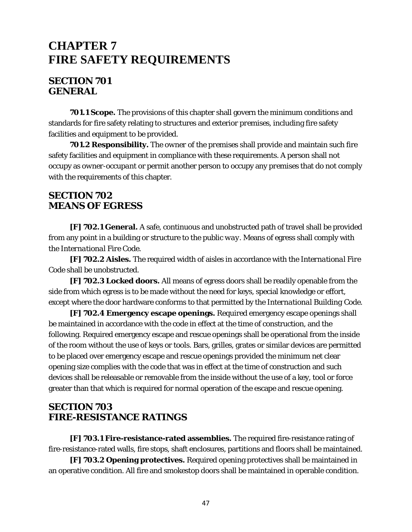## **CHAPTER 7 FIRE SAFETY REQUIREMENTS**

### **SECTION 701 GENERAL**

**701.1 Scope.** The provisions of this chapter shall govern the minimum conditions and standards for fire safety relating to structures and exterior *premises,* including fire safety facilities and equipment to be provided.

**701.2 Responsibility.** The *owner* of the *premises* shall provide and maintain such fire safety facilities and equipment in compliance with these requirements. A person shall not occupy as *owner-occupant* or permit another person to occupy any *premises* that do not comply with the requirements of this chapter.

#### **SECTION 702 MEANS OF EGRESS**

**[F] 702.1 General.** A safe, continuous and unobstructed path of travel shall be provided from any point in a building or structure to the *public way.* Means of egress shall comply with the *International Fire Code.*

**[F] 702.2 Aisles.** The required width of aisles in accordance with the *International Fire Code* shall be unobstructed.

**[F] 702.3 Locked doors.** All means of egress doors shall be readily openable from the side from which egress is to be made without the need for keys, special knowledge or effort, except where the door hardware conforms to that permitted by the *International Building Code.*

**[F] 702.4 Emergency escape openings.** Required emergency escape openings shall be maintained in accordance with the code in effect at the time of construction, and the following. Required emergency escape and rescue openings shall be operational from the inside of the room without the use of keys or tools. Bars, grilles, grates or similar devices are permitted to be placed over emergency escape and rescue openings provided the minimum net clear opening size complies with the code that was in effect at the time of construction and such devices shall be releasable or removable from the inside without the use of a key, tool or force greater than that which is required for normal operation of the escape and rescue opening.

## **SECTION 703 FIRE-RESISTANCE RATINGS**

**[F] 703.1 Fire-resistance-rated assemblies.** The required fire-resistance rating of fire-resistance-rated walls, fire stops, shaft enclosures, partitions and floors shall be maintained.

**[F] 703.2 Opening protectives.** Required opening protectives shall be maintained in an operative condition. All fire and smokestop doors shall be maintained in operable condition.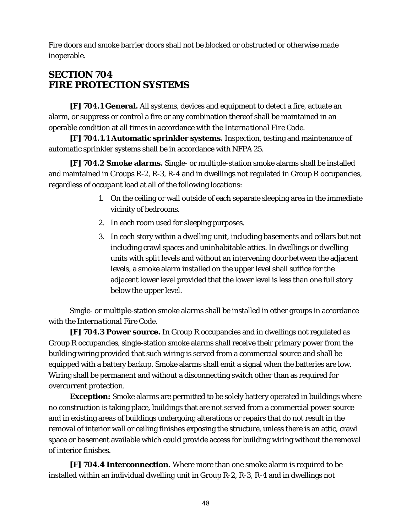Fire doors and smoke barrier doors shall not be blocked or obstructed or otherwise made inoperable.

### **SECTION 704 FIRE PROTECTION SYSTEMS**

**[F] 704.1 General.** All systems, devices and equipment to detect a fire, actuate an alarm, or suppress or control a fire or any combination thereof shall be maintained in an operable condition at all times in accordance with the *International Fire Code.*

**[F] 704.1.1 Automatic sprinkler systems.** Inspection, testing and maintenance of automatic sprinkler systems shall be in accordance with NFPA 25.

**[F] 704.2 Smoke alarms.** Single- or multiple-station smoke alarms shall be installed and maintained in Groups R-2, R-3, R-4 and in dwellings not regulated in Group R occupancies, regardless of *occupant* load at all of the following locations:

- 1. On the ceiling or wall outside of each separate sleeping area in the immediate vicinity of *bedrooms.*
- 2. In each room used for sleeping purposes.
- 3. In each story within a *dwelling unit,* including *basements* and cellars but not including crawl spaces and uninhabitable attics. In dwellings or *dwelling units* with split levels and without an intervening door between the adjacent levels, a smoke alarm installed on the upper level shall suffice for the adjacent lower level provided that the lower level is less than one full story below the upper level.

Single- or multiple-station smoke alarms shall be installed in other groups in accordance with the *International Fire Code.*

**[F] 704.3 Power source.** In Group R occupancies and in dwellings not regulated as Group R occupancies, single-station smoke alarms shall receive their primary power from the building wiring provided that such wiring is served from a commercial source and shall be equipped with a battery backup. Smoke alarms shall emit a signal when the batteries are low. Wiring shall be permanent and without a disconnecting switch other than as required for overcurrent protection.

**Exception:** Smoke alarms are permitted to be solely battery operated in buildings where no construction is taking place, buildings that are not served from a commercial power source and in existing areas of buildings undergoing alterations or repairs that do not result in the removal of interior wall or ceiling finishes exposing the structure, unless there is an attic, crawl space or *basement* available which could provide access for building wiring without the removal of interior finishes.

**[F] 704.4 Interconnection.** Where more than one smoke alarm is required to be installed within an individual *dwelling unit* in Group R-2, R-3, R-4 and in dwellings not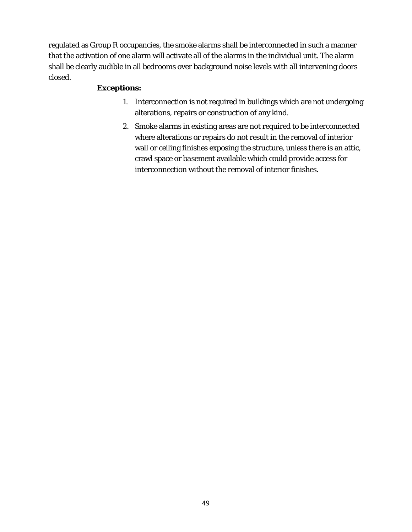regulated as Group R occupancies, the smoke alarms shall be interconnected in such a manner that the activation of one alarm will activate all of the alarms in the individual unit. The alarm shall be clearly audible in all *bedrooms* over background noise levels with all intervening doors closed.

#### **Exceptions:**

- 1. Interconnection is not required in buildings which are not undergoing alterations, repairs or construction of any kind.
- 2. Smoke alarms in existing areas are not required to be interconnected where alterations or repairs do not result in the removal of interior wall or ceiling finishes exposing the structure, unless there is an attic, crawl space or *basement* available which could provide access for interconnection without the removal of interior finishes.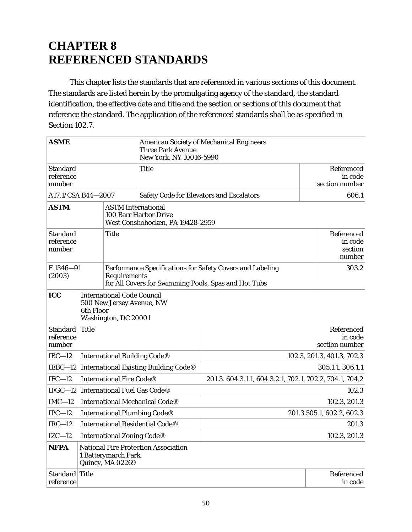# **CHAPTER 8 REFERENCED STANDARDS**

This chapter lists the standards that are referenced in various sections of this document. The standards are listed herein by the promulgating agency of the standard, the standard identification, the effective date and title and the section or sections of this document that reference the standard. The application of the referenced standards shall be as specified in Section 102.7.

| <b>ASME</b><br><b>Three Park Avenue</b><br>New York. NY 10016-5990 |                                                                                                     | <b>American Society of Mechanical Engineers</b> |                                                                                                                                   |                                                         |                                            |
|--------------------------------------------------------------------|-----------------------------------------------------------------------------------------------------|-------------------------------------------------|-----------------------------------------------------------------------------------------------------------------------------------|---------------------------------------------------------|--------------------------------------------|
| Standard<br>reference<br>number                                    |                                                                                                     |                                                 | <b>Title</b>                                                                                                                      |                                                         | Referenced<br>in code<br>section number    |
| A17.1/CSA B44-2007                                                 |                                                                                                     |                                                 | <b>Safety Code for Elevators and Escalators</b>                                                                                   |                                                         | 606.1                                      |
| <b>ASTM</b>                                                        | <b>ASTM</b> International<br>100 Barr Harbor Drive<br>West Conshohocken, PA 19428-2959              |                                                 |                                                                                                                                   |                                                         |                                            |
| <b>Standard</b><br>reference<br>number                             |                                                                                                     | <b>Title</b>                                    |                                                                                                                                   |                                                         | Referenced<br>in code<br>section<br>number |
| F1346-91<br>(2003)                                                 |                                                                                                     |                                                 | Performance Specifications for Safety Covers and Labeling<br>Requirements<br>for All Covers for Swimming Pools, Spas and Hot Tubs |                                                         | 303.2                                      |
| <b>ICC</b>                                                         | <b>International Code Council</b><br>500 New Jersey Avenue, NW<br>6th Floor<br>Washington, DC 20001 |                                                 |                                                                                                                                   |                                                         |                                            |
| Standard<br>reference<br>number                                    | <b>Title</b>                                                                                        |                                                 |                                                                                                                                   |                                                         | Referenced<br>in code<br>section number    |
| $IBC-12$                                                           | <b>International Building Code®</b>                                                                 |                                                 |                                                                                                                                   | 102.3, 201.3, 401.3, 702.3                              |                                            |
| $IEBC-12$                                                          | International Existing Building Code®                                                               |                                                 |                                                                                                                                   | 305.1.1, 306.1.1                                        |                                            |
| $IFC-12$                                                           | <b>International Fire Code®</b>                                                                     |                                                 |                                                                                                                                   | 201.3. 604.3.1.1, 604.3.2.1, 702.1, 702.2, 704.1, 704.2 |                                            |
| $IFGC-12$                                                          | International Fuel Gas Code®                                                                        |                                                 |                                                                                                                                   |                                                         | 102.3                                      |
| $IMC-12$                                                           | <b>International Mechanical Code®</b>                                                               |                                                 |                                                                                                                                   | 102.3, 201.3                                            |                                            |
| $IPC-12$                                                           | <b>International Plumbing Code®</b>                                                                 |                                                 |                                                                                                                                   | 201.3.505.1, 602.2, 602.3                               |                                            |
| $IRC-12$                                                           | <b>International Residential Code®</b>                                                              |                                                 |                                                                                                                                   | 201.3                                                   |                                            |
| IZC—12                                                             | <b>International Zoning Code</b> ®                                                                  |                                                 |                                                                                                                                   |                                                         | 102.3, 201.3                               |
| <b>NFPA</b>                                                        | <b>National Fire Protection Association</b><br>1 Batterymarch Park<br>Quincy, MA 02269              |                                                 |                                                                                                                                   |                                                         |                                            |
| Standard Title<br>reference                                        |                                                                                                     |                                                 |                                                                                                                                   |                                                         | Referenced<br>in code                      |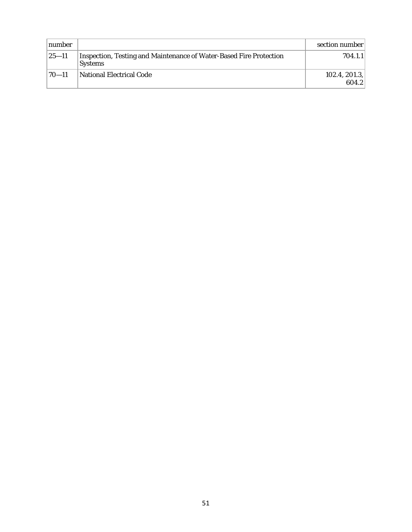| number      |                                                                                      | section number         |
|-------------|--------------------------------------------------------------------------------------|------------------------|
| $ 25 - 11 $ | Inspection, Testing and Maintenance of Water-Based Fire Protection<br><b>Systems</b> | 704.1.1                |
| $ 70-11$    | National Electrical Code                                                             | 102.4, 201.3,<br>604.2 |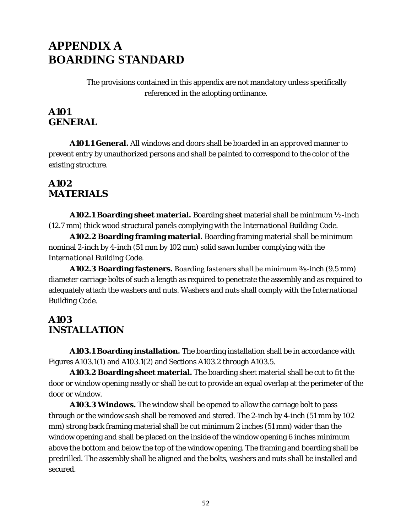# **APPENDIX A BOARDING STANDARD**

The provisions contained in this appendix are not mandatory unless specifically referenced in the adopting ordinance.

## **A101 GENERAL**

**A101.1 General.** All windows and doors shall be boarded in an *approved* manner to prevent entry by unauthorized persons and shall be painted to correspond to the color of the existing structure.

## **A102 MATERIALS**

**A102.1 Boarding sheet material.** Boarding sheet material shall be minimum ½-inch (12.7 mm) thick wood structural panels complying with the *International Building Code.*

**A102.2 Boarding framing material.** Boarding framing material shall be minimum nominal 2-inch by 4-inch (51 mm by 102 mm) solid sawn lumber complying with the *International Building Code.*

**A102.3 Boarding fasteners.** Boarding fasteners shall be minimum <sup>3</sup>%-inch (9.5 mm) diameter carriage bolts of such a length as required to penetrate the assembly and as required to adequately attach the washers and nuts. Washers and nuts shall comply with the *International Building Code.*

## **A103 INSTALLATION**

**A103.1 Boarding installation.** The boarding installation shall be in accordance with Figures A103.1(1) and A103.1(2) and Sections A103.2 through A103.5.

**A103.2 Boarding sheet material.** The boarding sheet material shall be cut to fit the door or window opening neatly or shall be cut to provide an equal overlap at the perimeter of the door or window.

**A103.3 Windows.** The window shall be opened to allow the carriage bolt to pass through or the window sash shall be removed and stored. The 2-inch by 4-inch (51 mm by 102 mm) strong back framing material shall be cut minimum 2 inches (51 mm) wider than the window opening and shall be placed on the inside of the window opening 6 inches minimum above the bottom and below the top of the window opening. The framing and boarding shall be predrilled. The assembly shall be aligned and the bolts, washers and nuts shall be installed and secured.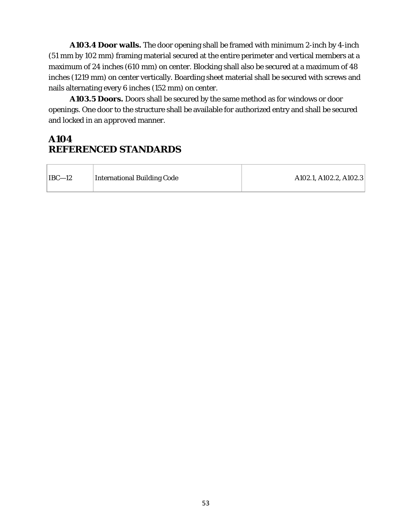**A103.4 Door walls.** The door opening shall be framed with minimum 2-inch by 4-inch (51 mm by 102 mm) framing material secured at the entire perimeter and vertical members at a maximum of 24 inches (610 mm) on center. Blocking shall also be secured at a maximum of 48 inches (1219 mm) on center vertically. Boarding sheet material shall be secured with screws and nails alternating every 6 inches (152 mm) on center.

**A103.5 Doors.** Doors shall be secured by the same method as for windows or door openings. One door to the structure shall be available for authorized entry and shall be secured and locked in an *approved* manner.

## **A104 REFERENCED STANDARDS**

| $ {\rm IBC}-12 $ | International Building Code | A102.1, A102.2, A102.3 |
|------------------|-----------------------------|------------------------|
|                  |                             |                        |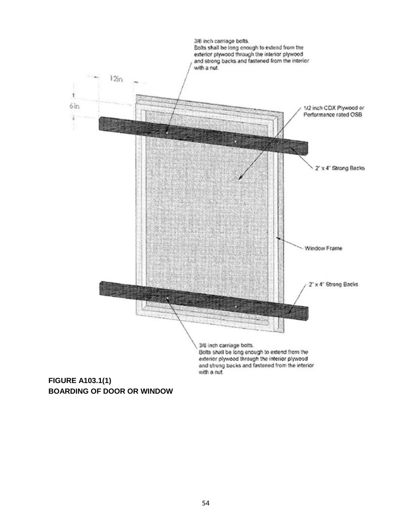

**BOARDING OF DOOR OR WINDOW**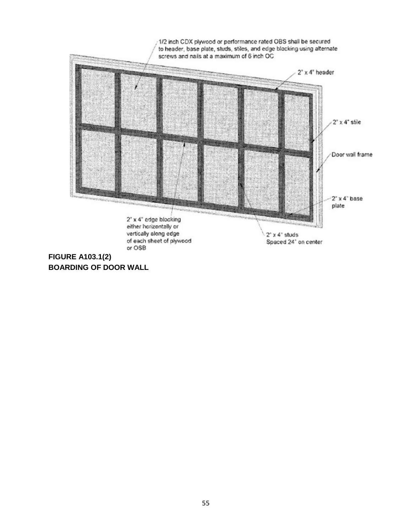

## **FIGURE A103.1(2) BOARDING OF DOOR WALL**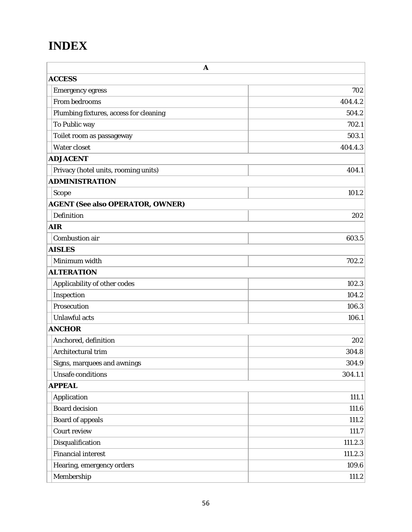# **INDEX**

| A                                       |         |
|-----------------------------------------|---------|
| <b>ACCESS</b>                           |         |
| <b>Emergency egress</b>                 | 702     |
| From bedrooms                           | 404.4.2 |
| Plumbing fixtures, access for cleaning  | 504.2   |
| To Public way                           | 702.1   |
| Toilet room as passageway               | 503.1   |
| <b>Water closet</b>                     | 404.4.3 |
| <b>ADJACENT</b>                         |         |
| Privacy (hotel units, rooming units)    | 404.1   |
| <b>ADMINISTRATION</b>                   |         |
| <b>Scope</b>                            | 101.2   |
| <b>AGENT (See also OPERATOR, OWNER)</b> |         |
| <b>Definition</b>                       | 202     |
| <b>AIR</b>                              |         |
| <b>Combustion air</b>                   | 603.5   |
| <b>AISLES</b>                           |         |
| Minimum width                           | 702.2   |
| <b>ALTERATION</b>                       |         |
| Applicability of other codes            | 102.3   |
| Inspection                              | 104.2   |
| Prosecution                             | 106.3   |
| <b>Unlawful acts</b>                    | 106.1   |
| <b>ANCHOR</b>                           |         |
| Anchored, definition                    | 202     |
| Architectural trim                      | 304.8   |
| Signs, marquees and awnings             | 304.9   |
| <b>Unsafe conditions</b>                | 304.1.1 |
| <b>APPEAL</b>                           |         |
| <b>Application</b>                      | 111.1   |
| <b>Board decision</b>                   | 111.6   |
| <b>Board of appeals</b>                 | 111.2   |
| <b>Court review</b>                     | 111.7   |
| Disqualification                        | 111.2.3 |
| <b>Financial interest</b>               | 111.2.3 |
| Hearing, emergency orders               | 109.6   |
| Membership                              | 111.2   |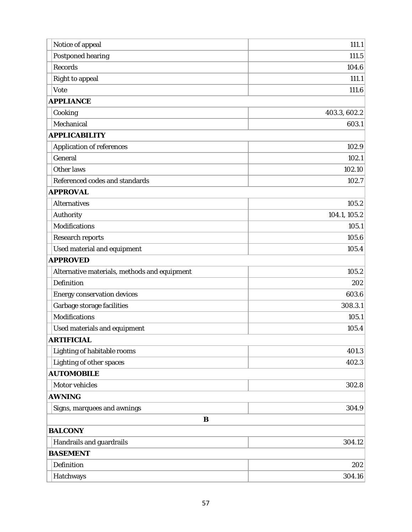| Notice of appeal                             | 111.1        |
|----------------------------------------------|--------------|
| <b>Postponed hearing</b>                     | 111.5        |
| <b>Records</b>                               | 104.6        |
| <b>Right to appeal</b>                       | 111.1        |
| <b>Vote</b>                                  | 111.6        |
| <b>APPLIANCE</b>                             |              |
| Cooking                                      | 403.3, 602.2 |
| Mechanical                                   | 603.1        |
| <b>APPLICABILITY</b>                         |              |
| <b>Application of references</b>             | 102.9        |
| General                                      | 102.1        |
| <b>Other laws</b>                            | 102.10       |
| Referenced codes and standards               | 102.7        |
| <b>APPROVAL</b>                              |              |
| <b>Alternatives</b>                          | 105.2        |
| Authority                                    | 104.1, 105.2 |
| <b>Modifications</b>                         | 105.1        |
| Research reports                             | 105.6        |
| Used material and equipment                  | 105.4        |
| <b>APPROVED</b>                              |              |
| Alternative materials, methods and equipment | 105.2        |
| <b>Definition</b>                            | 202          |
| <b>Energy conservation devices</b>           | 603.6        |
| <b>Garbage storage facilities</b>            | 308.3.1      |
| <b>Modifications</b>                         | 105.1        |
| Used materials and equipment                 | 105.4        |
| <b>ARTIFICIAL</b>                            |              |
| Lighting of habitable rooms                  | 401.3        |
| Lighting of other spaces                     | 402.3        |
| <b>AUTOMOBILE</b>                            |              |
| <b>Motor vehicles</b>                        | 302.8        |
| <b>AWNING</b>                                |              |
| Signs, marquees and awnings                  | 304.9        |
| B                                            |              |
| <b>BALCONY</b>                               |              |
| Handrails and guardrails                     | 304.12       |
| <b>BASEMENT</b>                              |              |
| <b>Definition</b>                            | 202          |
| Hatchways                                    | 304.16       |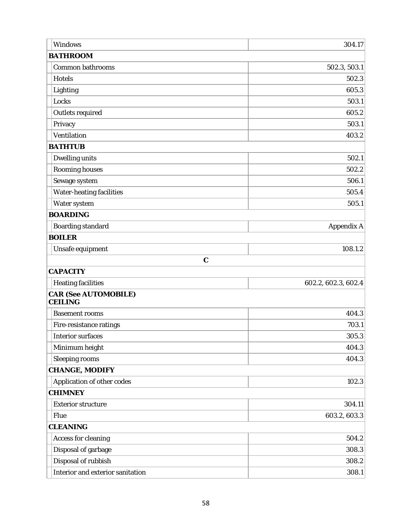| <b>Windows</b>                                | 304.17              |
|-----------------------------------------------|---------------------|
| <b>BATHROOM</b>                               |                     |
| <b>Common bathrooms</b>                       | 502.3, 503.1        |
| Hotels                                        | 502.3               |
| Lighting                                      | 605.3               |
| Locks                                         | 503.1               |
| Outlets required                              | 605.2               |
| Privacy                                       | 503.1               |
| <b>Ventilation</b>                            | 403.2               |
| <b>BATHTUB</b>                                |                     |
| <b>Dwelling units</b>                         | 502.1               |
| <b>Rooming houses</b>                         | 502.2               |
| Sewage system                                 | 506.1               |
| <b>Water-heating facilities</b>               | 505.4               |
| Water system                                  | 505.1               |
| <b>BOARDING</b>                               |                     |
| <b>Boarding standard</b>                      | <b>Appendix A</b>   |
| <b>BOILER</b>                                 |                     |
| Unsafe equipment                              | 108.1.2             |
| $\mathbf C$                                   |                     |
| <b>CAPACITY</b>                               |                     |
| <b>Heating facilities</b>                     | 602.2, 602.3, 602.4 |
| <b>CAR (See AUTOMOBILE)</b><br><b>CEILING</b> |                     |
| <b>Basement rooms</b>                         | 404.3               |
| <b>Fire-resistance ratings</b>                | 703.1               |
| <b>Interior surfaces</b>                      | 305.3               |
| Minimum height                                | 404.3               |
| <b>Sleeping rooms</b>                         | 404.3               |
| <b>CHANGE, MODIFY</b>                         |                     |
| Application of other codes                    | 102.3               |
| <b>CHIMNEY</b>                                |                     |
| <b>Exterior structure</b>                     |                     |
|                                               | 304.11              |
| Flue                                          | 603.2, 603.3        |
| <b>CLEANING</b>                               |                     |
| <b>Access for cleaning</b>                    | 504.2               |
| Disposal of garbage                           | 308.3               |
| Disposal of rubbish                           | 308.2               |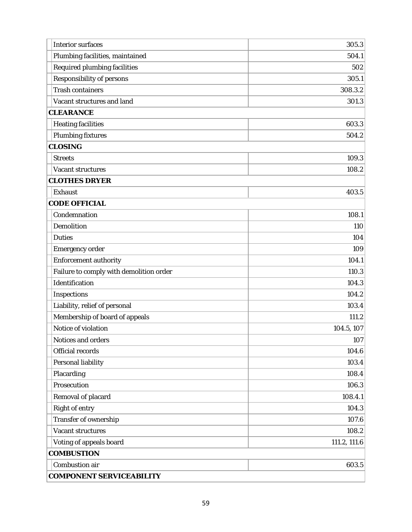| <b>Interior surfaces</b>                | 305.3        |
|-----------------------------------------|--------------|
| Plumbing facilities, maintained         | 504.1        |
| <b>Required plumbing facilities</b>     | 502          |
| <b>Responsibility of persons</b>        | 305.1        |
| <b>Trash containers</b>                 | 308.3.2      |
| Vacant structures and land              | 301.3        |
| <b>CLEARANCE</b>                        |              |
| <b>Heating facilities</b>               | 603.3        |
| <b>Plumbing fixtures</b>                | 504.2        |
| <b>CLOSING</b>                          |              |
| <b>Streets</b>                          | 109.3        |
| <b>Vacant structures</b>                | 108.2        |
| <b>CLOTHES DRYER</b>                    |              |
| <b>Exhaust</b>                          | 403.5        |
| <b>CODE OFFICIAL</b>                    |              |
| Condemnation                            | 108.1        |
| <b>Demolition</b>                       | 110          |
| <b>Duties</b>                           | 104          |
| <b>Emergency order</b>                  | 109          |
| <b>Enforcement authority</b>            | 104.1        |
| Failure to comply with demolition order | 110.3        |
| Identification                          | 104.3        |
| Inspections                             | 104.2        |
| Liability, relief of personal           | 103.4        |
| Membership of board of appeals          | 111.2        |
| Notice of violation                     | 104.5, 107   |
| Notices and orders                      | 107          |
| Official records                        | 104.6        |
| <b>Personal liability</b>               | 103.4        |
| Placarding                              | 108.4        |
| Prosecution                             | 106.3        |
| Removal of placard                      | 108.4.1      |
| Right of entry                          | 104.3        |
| <b>Transfer of ownership</b>            | 107.6        |
| <b>Vacant structures</b>                | 108.2        |
| Voting of appeals board                 | 111.2, 111.6 |
| <b>COMBUSTION</b>                       |              |
| Combustion air                          | 603.5        |
| <b>COMPONENT SERVICEABILITY</b>         |              |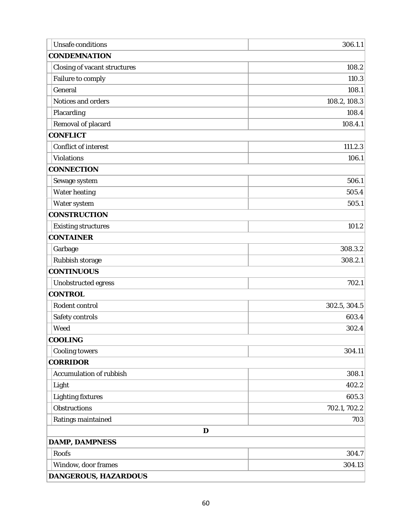| <b>Unsafe conditions</b>            | 306.1.1      |
|-------------------------------------|--------------|
| <b>CONDEMNATION</b>                 |              |
| <b>Closing of vacant structures</b> | 108.2        |
| Failure to comply                   | 110.3        |
| General                             | 108.1        |
| Notices and orders                  | 108.2, 108.3 |
| Placarding                          | 108.4        |
| Removal of placard                  | 108.4.1      |
| <b>CONFLICT</b>                     |              |
| <b>Conflict of interest</b>         | 111.2.3      |
| <b>Violations</b>                   | 106.1        |
| <b>CONNECTION</b>                   |              |
| Sewage system                       | 506.1        |
| <b>Water heating</b>                | 505.4        |
| Water system                        | 505.1        |
| <b>CONSTRUCTION</b>                 |              |
| <b>Existing structures</b>          | 101.2        |
| <b>CONTAINER</b>                    |              |
| Garbage                             | 308.3.2      |
| Rubbish storage                     | 308.2.1      |
| <b>CONTINUOUS</b>                   |              |
| <b>Unobstructed egress</b>          | 702.1        |
| <b>CONTROL</b>                      |              |
| Rodent control                      | 302.5, 304.5 |
| Safety controls                     | 603.4        |
| Weed                                | 302.4        |
| <b>COOLING</b>                      |              |
| <b>Cooling towers</b>               | 304.11       |
| <b>CORRIDOR</b>                     |              |
| <b>Accumulation of rubbish</b>      | 308.1        |
| Light                               | 402.2        |
| <b>Lighting fixtures</b>            | 605.3        |
| <b>Obstructions</b>                 | 702.1, 702.2 |
| Ratings maintained                  | 703          |
| D                                   |              |
| <b>DAMP, DAMPNESS</b>               |              |
| <b>Roofs</b>                        | 304.7        |
| Window, door frames                 | 304.13       |
| DANGEROUS, HAZARDOUS                |              |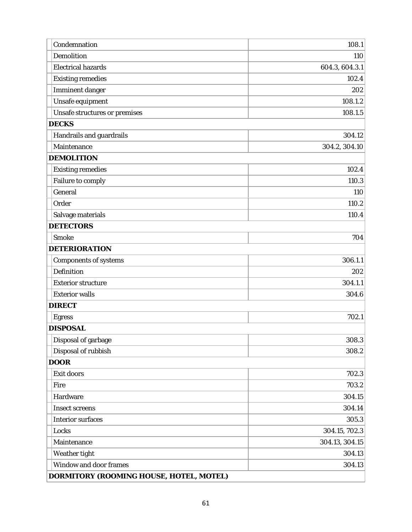| Condemnation                            | 108.1          |
|-----------------------------------------|----------------|
| <b>Demolition</b>                       | 110            |
| <b>Electrical hazards</b>               | 604.3, 604.3.1 |
| <b>Existing remedies</b>                | 102.4          |
| <b>Imminent danger</b>                  | 202            |
| Unsafe equipment                        | 108.1.2        |
| <b>Unsafe structures or premises</b>    | 108.1.5        |
| <b>DECKS</b>                            |                |
| Handrails and guardrails                | 304.12         |
| Maintenance                             | 304.2, 304.10  |
| <b>DEMOLITION</b>                       |                |
| <b>Existing remedies</b>                | 102.4          |
| Failure to comply                       | 110.3          |
| General                                 | 110            |
| Order                                   | 110.2          |
| Salvage materials                       | 110.4          |
| <b>DETECTORS</b>                        |                |
| <b>Smoke</b>                            | 704            |
| <b>DETERIORATION</b>                    |                |
| <b>Components of systems</b>            | 306.1.1        |
| Definition                              | 202            |
| <b>Exterior structure</b>               | 304.1.1        |
| <b>Exterior walls</b>                   | 304.6          |
| <b>DIRECT</b>                           |                |
| <b>Egress</b>                           | 702.1          |
| <b>DISPOSAL</b>                         |                |
| Disposal of garbage                     | 308.3          |
| Disposal of rubbish                     | 308.2          |
| <b>DOOR</b>                             |                |
| Exit doors                              | 702.3          |
| Fire                                    | 703.2          |
| Hardware                                | 304.15         |
| <b>Insect screens</b>                   | 304.14         |
| <b>Interior surfaces</b>                | 305.3          |
| Locks                                   | 304.15, 702.3  |
| Maintenance                             | 304.13, 304.15 |
| Weather tight                           | 304.13         |
| Window and door frames                  | 304.13         |
| DORMITORY (ROOMING HOUSE, HOTEL, MOTEL) |                |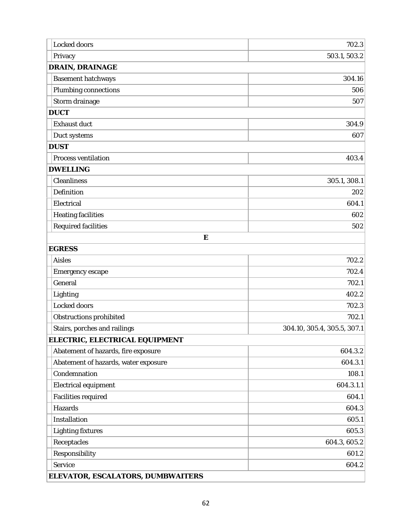| <b>Locked doors</b>                  | 702.3                       |
|--------------------------------------|-----------------------------|
| Privacy                              | 503.1, 503.2                |
| <b>DRAIN, DRAINAGE</b>               |                             |
| <b>Basement hatchways</b>            | 304.16                      |
| <b>Plumbing connections</b>          | 506                         |
| Storm drainage                       | 507                         |
| <b>DUCT</b>                          |                             |
| <b>Exhaust duct</b>                  | 304.9                       |
| Duct systems                         | 607                         |
| <b>DUST</b>                          |                             |
| <b>Process ventilation</b>           | 403.4                       |
| <b>DWELLING</b>                      |                             |
| <b>Cleanliness</b>                   | 305.1, 308.1                |
| Definition                           | 202                         |
| Electrical                           | 604.1                       |
| <b>Heating facilities</b>            | 602                         |
| <b>Required facilities</b>           | 502                         |
| Е                                    |                             |
| <b>EGRESS</b>                        |                             |
| <b>Aisles</b>                        | 702.2                       |
| <b>Emergency escape</b>              | 702.4                       |
| General                              | 702.1                       |
| Lighting                             | 402.2                       |
| <b>Locked</b> doors                  | 702.3                       |
| <b>Obstructions prohibited</b>       | 702.1                       |
| Stairs, porches and railings         | 304.10, 305.4, 305.5, 307.1 |
| ELECTRIC, ELECTRICAL EQUIPMENT       |                             |
| Abatement of hazards, fire exposure  | 604.3.2                     |
| Abatement of hazards, water exposure | 604.3.1                     |
| Condemnation                         | 108.1                       |
| <b>Electrical equipment</b>          | 604.3.1.1                   |
| <b>Facilities required</b>           | 604.1                       |
| <b>Hazards</b>                       | 604.3                       |
| <b>Installation</b>                  | 605.1                       |
| <b>Lighting fixtures</b>             | 605.3                       |
| Receptacles                          | 604.3, 605.2                |
| Responsibility                       | 601.2                       |
| <b>Service</b>                       | 604.2                       |
| ELEVATOR, ESCALATORS, DUMBWAITERS    |                             |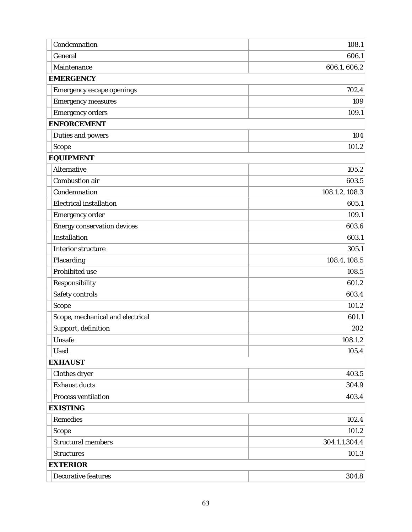| Condemnation                       | 108.1          |
|------------------------------------|----------------|
| General                            | 606.1          |
| Maintenance                        | 606.1, 606.2   |
| <b>EMERGENCY</b>                   |                |
| <b>Emergency escape openings</b>   | 702.4          |
| <b>Emergency measures</b>          | 109            |
| <b>Emergency orders</b>            | 109.1          |
| <b>ENFORCEMENT</b>                 |                |
| Duties and powers                  | 104            |
| <b>Scope</b>                       | 101.2          |
| <b>EQUIPMENT</b>                   |                |
| <b>Alternative</b>                 | 105.2          |
| Combustion air                     | 603.5          |
| Condemnation                       | 108.1.2, 108.3 |
| <b>Electrical installation</b>     | 605.1          |
| <b>Emergency order</b>             | 109.1          |
| <b>Energy conservation devices</b> | 603.6          |
| <b>Installation</b>                | 603.1          |
| <b>Interior structure</b>          | 305.1          |
| Placarding                         | 108.4, 108.5   |
| <b>Prohibited use</b>              | 108.5          |
| Responsibility                     | 601.2          |
| Safety controls                    | 603.4          |
| <b>Scope</b>                       | 101.2          |
| Scope, mechanical and electrical   | 601.1          |
| Support, definition                | 202            |
| Unsafe                             | 108.1.2        |
| <b>Used</b>                        | 105.4          |
| <b>EXHAUST</b>                     |                |
| Clothes dryer                      | 403.5          |
| <b>Exhaust ducts</b>               | 304.9          |
| <b>Process ventilation</b>         | 403.4          |
| <b>EXISTING</b>                    |                |
| <b>Remedies</b>                    | 102.4          |
| <b>Scope</b>                       | 101.2          |
| <b>Structural members</b>          | 304.1.1,304.4  |
| <b>Structures</b>                  | 101.3          |
| <b>EXTERIOR</b>                    |                |
| <b>Decorative features</b>         | 304.8          |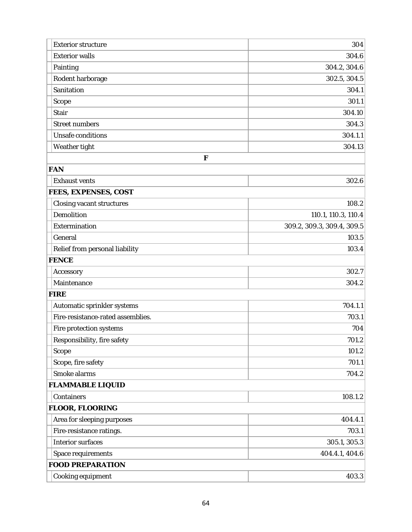| <b>Exterior structure</b>         | 304                        |
|-----------------------------------|----------------------------|
| <b>Exterior walls</b>             | 304.6                      |
| Painting                          | 304.2, 304.6               |
| Rodent harborage                  | 302.5, 304.5               |
| <b>Sanitation</b>                 | 304.1                      |
| <b>Scope</b>                      | 301.1                      |
| <b>Stair</b>                      | 304.10                     |
| <b>Street numbers</b>             | 304.3                      |
| <b>Unsafe conditions</b>          | 304.1.1                    |
| Weather tight                     | 304.13                     |
| F                                 |                            |
| <b>FAN</b>                        |                            |
| <b>Exhaust vents</b>              | 302.6                      |
| <b>FEES, EXPENSES, COST</b>       |                            |
| <b>Closing vacant structures</b>  | 108.2                      |
| <b>Demolition</b>                 | 110.1, 110.3, 110.4        |
| <b>Extermination</b>              | 309.2, 309.3, 309.4, 309.5 |
| General                           | 103.5                      |
| Relief from personal liability    | 103.4                      |
| <b>FENCE</b>                      |                            |
| Accessory                         | 302.7                      |
| Maintenance                       | 304.2                      |
| <b>FIRE</b>                       |                            |
| Automatic sprinkler systems       | 704.1.1                    |
| Fire-resistance-rated assemblies. | 703.1                      |
| Fire protection systems           | 704                        |
| Responsibility, fire safety       | 701.2                      |
| <b>Scope</b>                      | 101.2                      |
| Scope, fire safety                | 701.1                      |
| Smoke alarms                      | 704.2                      |
| <b>FLAMMABLE LIQUID</b>           |                            |
| <b>Containers</b>                 | 108.1.2                    |
| <b>FLOOR, FLOORING</b>            |                            |
| Area for sleeping purposes        | 404.4.1                    |
| Fire-resistance ratings.          | 703.1                      |
| <b>Interior surfaces</b>          | 305.1, 305.3               |
| Space requirements                | 404.4.1, 404.6             |
| <b>FOOD PREPARATION</b>           |                            |
| <b>Cooking equipment</b>          | 403.3                      |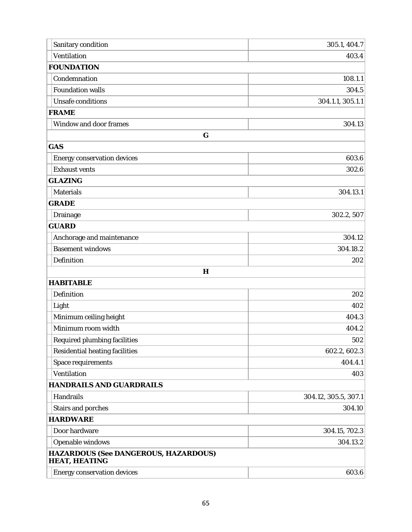| Sanitary condition                                                  | 305.1, 404.7         |
|---------------------------------------------------------------------|----------------------|
| <b>Ventilation</b>                                                  | 403.4                |
| <b>FOUNDATION</b>                                                   |                      |
| Condemnation                                                        | 108.1.1              |
| <b>Foundation walls</b>                                             | 304.5                |
| <b>Unsafe conditions</b>                                            | 304.1.1, 305.1.1     |
| <b>FRAME</b>                                                        |                      |
| <b>Window and door frames</b>                                       | 304.13               |
| $\bf G$                                                             |                      |
| <b>GAS</b>                                                          |                      |
| <b>Energy conservation devices</b>                                  | 603.6                |
| <b>Exhaust vents</b>                                                | 302.6                |
| <b>GLAZING</b>                                                      |                      |
| <b>Materials</b>                                                    | 304.13.1             |
| <b>GRADE</b>                                                        |                      |
| <b>Drainage</b>                                                     | 302.2, 507           |
| <b>GUARD</b>                                                        |                      |
| Anchorage and maintenance                                           | 304.12               |
| <b>Basement windows</b>                                             | 304.18.2             |
| <b>Definition</b>                                                   | 202                  |
| $\bf H$                                                             |                      |
| <b>HABITABLE</b>                                                    |                      |
| Definition                                                          | 202                  |
| Light                                                               | 402                  |
| Minimum ceiling height                                              | 404.3                |
| Minimum room width                                                  | 404.2                |
| Required plumbing facilities                                        | 502                  |
| <b>Residential heating facilities</b>                               | 602.2, 602.3         |
| Space requirements                                                  | 404.4.1              |
| <b>Ventilation</b>                                                  | 403                  |
| <b>HANDRAILS AND GUARDRAILS</b>                                     |                      |
| <b>Handrails</b>                                                    | 304.12, 305.5, 307.1 |
| <b>Stairs and porches</b>                                           | 304.10               |
| <b>HARDWARE</b>                                                     |                      |
| Door hardware                                                       | 304.15, 702.3        |
| Openable windows                                                    | 304.13.2             |
| <b>HAZARDOUS (See DANGEROUS, HAZARDOUS)</b><br><b>HEAT, HEATING</b> |                      |
| <b>Energy conservation devices</b>                                  | 603.6                |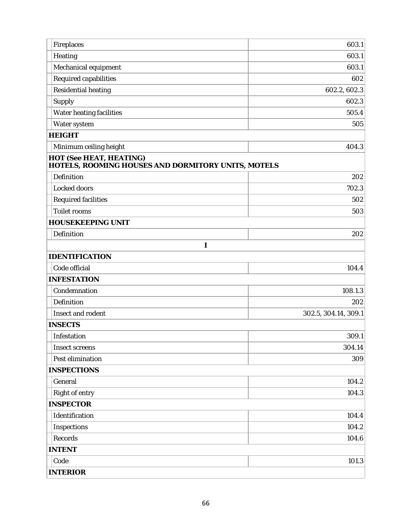| <b>Fireplaces</b>                                                                    | 603.1                |
|--------------------------------------------------------------------------------------|----------------------|
| Heating                                                                              | 603.1                |
| Mechanical equipment                                                                 | 603.1                |
| <b>Required capabilities</b>                                                         | 602                  |
| <b>Residential heating</b>                                                           | 602.2, 602.3         |
| <b>Supply</b>                                                                        | 602.3                |
| <b>Water heating facilities</b>                                                      | 505.4                |
| Water system                                                                         | 505                  |
| <b>HEIGHT</b>                                                                        |                      |
| Minimum ceiling height                                                               | 404.3                |
| <b>HOT (See HEAT, HEATING)</b><br>HOTELS, ROOMING HOUSES AND DORMITORY UNITS, MOTELS |                      |
| <b>Definition</b>                                                                    | 202                  |
| <b>Locked doors</b>                                                                  | 702.3                |
| <b>Required facilities</b>                                                           | 502                  |
| <b>Toilet rooms</b>                                                                  | 503                  |
| <b>HOUSEKEEPING UNIT</b>                                                             |                      |
| <b>Definition</b>                                                                    | 202                  |
| 1                                                                                    |                      |
| <b>IDENTIFICATION</b>                                                                |                      |
| Code official                                                                        | 104.4                |
| <b>INFESTATION</b>                                                                   |                      |
| Condemnation                                                                         | 108.1.3              |
| <b>Definition</b>                                                                    | 202                  |
| <b>Insect and rodent</b>                                                             | 302.5, 304.14, 309.1 |
| <b>INSECTS</b>                                                                       |                      |
| <b>Infestation</b>                                                                   | 309.1                |
| <b>Insect screens</b>                                                                | 304.14               |
| Pest elimination                                                                     | 309                  |
| <b>INSPECTIONS</b>                                                                   |                      |
| General                                                                              | 104.2                |
| <b>Right of entry</b>                                                                | 104.3                |
| <b>INSPECTOR</b>                                                                     |                      |
| Identification                                                                       | 104.4                |
| <b>Inspections</b>                                                                   | 104.2                |
| <b>Records</b>                                                                       | 104.6                |
| <b>INTENT</b>                                                                        |                      |
| Code                                                                                 | 101.3                |
| <b>INTERIOR</b>                                                                      |                      |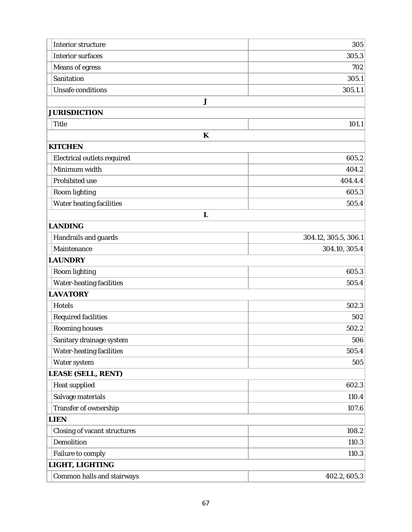| <b>Interior structure</b>           | 305                  |
|-------------------------------------|----------------------|
| <b>Interior surfaces</b>            | 305.3                |
| <b>Means of egress</b>              | 702                  |
| Sanitation                          | 305.1                |
| <b>Unsafe conditions</b>            | 305.1.1              |
| $\mathbf J$                         |                      |
| <b>JURISDICTION</b>                 |                      |
| <b>Title</b>                        | 101.1                |
| K                                   |                      |
| <b>KITCHEN</b>                      |                      |
| <b>Electrical outlets required</b>  | 605.2                |
| Minimum width                       | 404.2                |
| <b>Prohibited use</b>               | 404.4.4              |
| Room lighting                       | 605.3                |
| <b>Water heating facilities</b>     | 505.4                |
| L                                   |                      |
| <b>LANDING</b>                      |                      |
| Handrails and guards                | 304.12, 305.5, 306.1 |
| Maintenance                         | 304.10, 305.4        |
| <b>LAUNDRY</b>                      |                      |
| Room lighting                       | 605.3                |
| <b>Water-heating facilities</b>     | 505.4                |
| <b>LAVATORY</b>                     |                      |
| <b>Hotels</b>                       | 502.3                |
| <b>Required facilities</b>          | 502                  |
| <b>Rooming houses</b>               | 502.2                |
| Sanitary drainage system            | 506                  |
| <b>Water-heating facilities</b>     | 505.4                |
| Water system                        | 505                  |
| <b>LEASE (SELL, RENT)</b>           |                      |
| <b>Heat supplied</b>                | 602.3                |
| Salvage materials                   | 110.4                |
| Transfer of ownership               | 107.6                |
| <b>LIEN</b>                         |                      |
| <b>Closing of vacant structures</b> | 108.2                |
| <b>Demolition</b>                   | 110.3                |
| <b>Failure to comply</b>            | 110.3                |
| LIGHT, LIGHTING                     |                      |
| <b>Common halls and stairways</b>   | 402.2, 605.3         |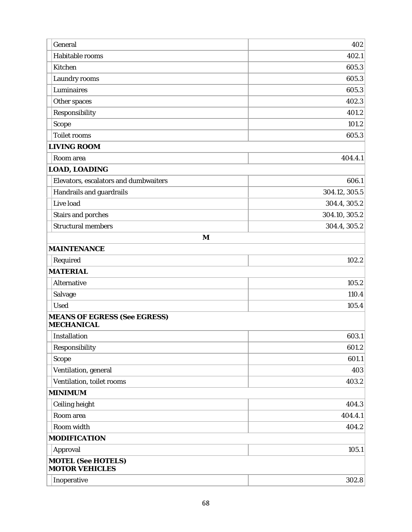| Habitable rooms<br>402.1<br>605.3<br>Kitchen<br><b>Laundry rooms</b><br>605.3<br>Luminaires<br>605.3<br>402.3<br>Other spaces<br>Responsibility<br>401.2<br>101.2<br><b>Scope</b><br><b>Toilet rooms</b><br>605.3<br><b>LIVING ROOM</b><br>404.4.1<br>Room area<br><b>LOAD, LOADING</b><br>Elevators, escalators and dumbwaiters<br>606.1<br>Handrails and guardrails<br>304.12, 305.5 |
|----------------------------------------------------------------------------------------------------------------------------------------------------------------------------------------------------------------------------------------------------------------------------------------------------------------------------------------------------------------------------------------|
|                                                                                                                                                                                                                                                                                                                                                                                        |
|                                                                                                                                                                                                                                                                                                                                                                                        |
|                                                                                                                                                                                                                                                                                                                                                                                        |
|                                                                                                                                                                                                                                                                                                                                                                                        |
|                                                                                                                                                                                                                                                                                                                                                                                        |
|                                                                                                                                                                                                                                                                                                                                                                                        |
|                                                                                                                                                                                                                                                                                                                                                                                        |
|                                                                                                                                                                                                                                                                                                                                                                                        |
|                                                                                                                                                                                                                                                                                                                                                                                        |
|                                                                                                                                                                                                                                                                                                                                                                                        |
|                                                                                                                                                                                                                                                                                                                                                                                        |
|                                                                                                                                                                                                                                                                                                                                                                                        |
|                                                                                                                                                                                                                                                                                                                                                                                        |
| Live load<br>304.4, 305.2                                                                                                                                                                                                                                                                                                                                                              |
| <b>Stairs and porches</b><br>304.10, 305.2                                                                                                                                                                                                                                                                                                                                             |
| <b>Structural members</b><br>304.4, 305.2                                                                                                                                                                                                                                                                                                                                              |
| M                                                                                                                                                                                                                                                                                                                                                                                      |
| <b>MAINTENANCE</b>                                                                                                                                                                                                                                                                                                                                                                     |
| 102.2<br>Required                                                                                                                                                                                                                                                                                                                                                                      |
| <b>MATERIAL</b>                                                                                                                                                                                                                                                                                                                                                                        |
| 105.2<br><b>Alternative</b>                                                                                                                                                                                                                                                                                                                                                            |
| 110.4<br>Salvage                                                                                                                                                                                                                                                                                                                                                                       |
| <b>Used</b><br>105.4                                                                                                                                                                                                                                                                                                                                                                   |
| <b>MEANS OF EGRESS (See EGRESS)</b><br><b>MECHANICAL</b>                                                                                                                                                                                                                                                                                                                               |
| 603.1<br>Installation                                                                                                                                                                                                                                                                                                                                                                  |
| 601.2<br>Responsibility                                                                                                                                                                                                                                                                                                                                                                |
| 601.1<br><b>Scope</b>                                                                                                                                                                                                                                                                                                                                                                  |
| Ventilation, general<br>403                                                                                                                                                                                                                                                                                                                                                            |
| Ventilation, toilet rooms<br>403.2                                                                                                                                                                                                                                                                                                                                                     |
| <b>MINIMUM</b>                                                                                                                                                                                                                                                                                                                                                                         |
| Ceiling height<br>404.3                                                                                                                                                                                                                                                                                                                                                                |
| Room area<br>404.4.1                                                                                                                                                                                                                                                                                                                                                                   |
| Room width<br>404.2                                                                                                                                                                                                                                                                                                                                                                    |
| <b>MODIFICATION</b>                                                                                                                                                                                                                                                                                                                                                                    |
| 105.1<br>Approval                                                                                                                                                                                                                                                                                                                                                                      |
| <b>MOTEL (See HOTELS)</b><br><b>MOTOR VEHICLES</b>                                                                                                                                                                                                                                                                                                                                     |
| 302.8<br>Inoperative                                                                                                                                                                                                                                                                                                                                                                   |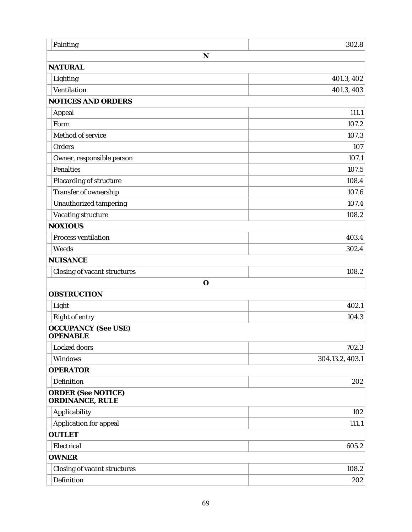| Painting                                            | 302.8           |
|-----------------------------------------------------|-----------------|
| N                                                   |                 |
| <b>NATURAL</b>                                      |                 |
| Lighting                                            | 401.3, 402      |
| <b>Ventilation</b>                                  | 401.3, 403      |
| <b>NOTICES AND ORDERS</b>                           |                 |
| <b>Appeal</b>                                       | 111.1           |
| Form                                                | 107.2           |
| Method of service                                   | 107.3           |
| Orders                                              | 107             |
| Owner, responsible person                           | 107.1           |
| <b>Penalties</b>                                    | 107.5           |
| <b>Placarding of structure</b>                      | 108.4           |
| Transfer of ownership                               | 107.6           |
| <b>Unauthorized tampering</b>                       | 107.4           |
| <b>Vacating structure</b>                           | 108.2           |
| <b>NOXIOUS</b>                                      |                 |
| <b>Process ventilation</b>                          | 403.4           |
| Weeds                                               | 302.4           |
| <b>NUISANCE</b>                                     |                 |
| <b>Closing of vacant structures</b>                 | 108.2           |
| $\mathbf 0$                                         |                 |
| <b>OBSTRUCTION</b>                                  |                 |
| Light                                               | 402.1           |
| <b>Right of entry</b>                               | 104.3           |
| <b>OCCUPANCY (See USE)</b><br><b>OPENABLE</b>       |                 |
| <b>Locked</b> doors                                 | 702.3           |
| <b>Windows</b>                                      | 304.13.2, 403.1 |
| <b>OPERATOR</b>                                     |                 |
| Definition                                          | 202             |
| <b>ORDER (See NOTICE)</b><br><b>ORDINANCE, RULE</b> |                 |
| Applicability                                       | 102             |
| <b>Application for appeal</b>                       | 111.1           |
| <b>OUTLET</b>                                       |                 |
| Electrical                                          | 605.2           |
| <b>OWNER</b>                                        |                 |
| <b>Closing of vacant structures</b>                 | 108.2           |
| Definition                                          | 202             |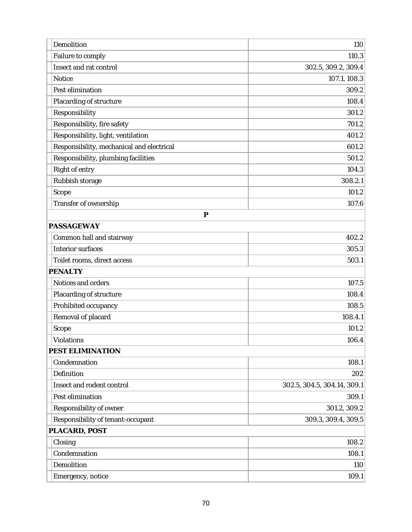| <b>Demolition</b>                         | 110                         |
|-------------------------------------------|-----------------------------|
| <b>Failure to comply</b>                  | 110.3                       |
| <b>Insect and rat control</b>             | 302.5, 309.2, 309.4         |
| <b>Notice</b>                             | 107.1, 108.3                |
| Pest elimination                          | 309.2                       |
| <b>Placarding of structure</b>            | 108.4                       |
| Responsibility                            | 301.2                       |
| Responsibility, fire safety               | 701.2                       |
| Responsibility, light, ventilation        | 401.2                       |
| Responsibility, mechanical and electrical | 601.2                       |
| Responsibility, plumbing facilities       | 501.2                       |
| <b>Right of entry</b>                     | 104.3                       |
| <b>Rubbish storage</b>                    | 308.2.1                     |
| <b>Scope</b>                              | 101.2                       |
| <b>Transfer of ownership</b>              | 107.6                       |
| ${\bf P}$                                 |                             |
| <b>PASSAGEWAY</b>                         |                             |
| Common hall and stairway                  | 402.2                       |
| <b>Interior surfaces</b>                  | 305.3                       |
| Toilet rooms, direct access               | 503.1                       |
| <b>PENALTY</b>                            |                             |
| Notices and orders                        | 107.5                       |
| <b>Placarding of structure</b>            | 108.4                       |
| Prohibited occupancy                      | 108.5                       |
| <b>Removal of placard</b>                 | 108.4.1                     |
| <b>Scope</b>                              | 101.2                       |
| <b>Violations</b>                         | 106.4                       |
| <b>PEST ELIMINATION</b>                   |                             |
| Condemnation                              | 108.1                       |
| <b>Definition</b>                         | 202                         |
| <b>Insect and rodent control</b>          | 302.5, 304.5, 304.14, 309.1 |
| Pest elimination                          | 309.1                       |
| <b>Responsibility of owner</b>            | 301.2, 309.2                |
| <b>Responsibility of tenant-occupant</b>  | 309.3, 309.4, 309.5         |
| PLACARD, POST                             |                             |
| Closing                                   | 108.2                       |
| Condemnation                              | 108.1                       |
| <b>Demolition</b>                         | 110                         |
| Emergency, notice                         | 109.1                       |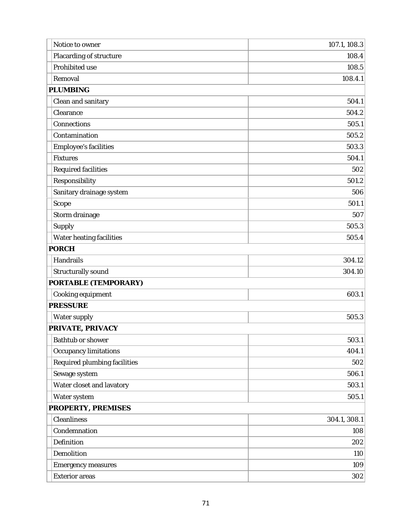| Notice to owner                     | 107.1, 108.3 |
|-------------------------------------|--------------|
| <b>Placarding of structure</b>      | 108.4        |
| <b>Prohibited use</b>               | 108.5        |
| Removal                             | 108.4.1      |
| <b>PLUMBING</b>                     |              |
| Clean and sanitary                  | 504.1        |
| Clearance                           | 504.2        |
| Connections                         | 505.1        |
| Contamination                       | 505.2        |
| <b>Employee's facilities</b>        | 503.3        |
| <b>Fixtures</b>                     | 504.1        |
| <b>Required facilities</b>          | 502          |
| Responsibility                      | 501.2        |
| Sanitary drainage system            | 506          |
| <b>Scope</b>                        | 501.1        |
| Storm drainage                      | 507          |
| <b>Supply</b>                       | 505.3        |
| <b>Water heating facilities</b>     | 505.4        |
| <b>PORCH</b>                        |              |
| <b>Handrails</b>                    | 304.12       |
| <b>Structurally sound</b>           | 304.10       |
| <b>PORTABLE (TEMPORARY)</b>         |              |
| <b>Cooking equipment</b>            | 603.1        |
| <b>PRESSURE</b>                     |              |
| <b>Water supply</b>                 | 505.3        |
| PRIVATE, PRIVACY                    |              |
| <b>Bathtub or shower</b>            | 503.1        |
| <b>Occupancy limitations</b>        | 404.1        |
| <b>Required plumbing facilities</b> | 502          |
| Sewage system                       | 506.1        |
| Water closet and lavatory           | 503.1        |
| Water system                        | 505.1        |
| <b>PROPERTY, PREMISES</b>           |              |
| <b>Cleanliness</b>                  | 304.1, 308.1 |
| Condemnation                        | 108          |
| Definition                          | 202          |
| Demolition                          | 110          |
| <b>Emergency measures</b>           | 109          |
| <b>Exterior</b> areas               | 302          |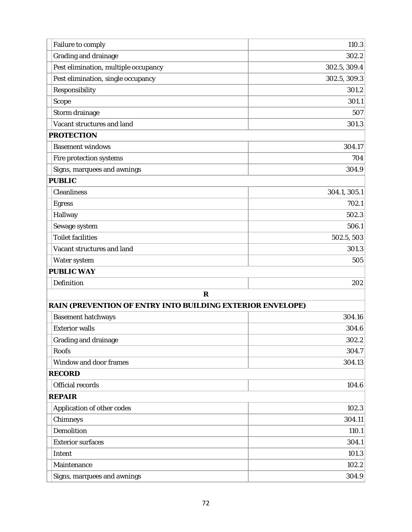| Failure to comply                                          | 110.3        |
|------------------------------------------------------------|--------------|
| <b>Grading and drainage</b>                                | 302.2        |
| Pest elimination, multiple occupancy                       | 302.5, 309.4 |
| Pest elimination, single occupancy                         | 302.5, 309.3 |
| Responsibility                                             | 301.2        |
| <b>Scope</b>                                               | 301.1        |
| Storm drainage                                             | 507          |
| Vacant structures and land                                 | 301.3        |
| <b>PROTECTION</b>                                          |              |
| <b>Basement windows</b>                                    | 304.17       |
| Fire protection systems                                    | 704          |
| Signs, marquees and awnings                                | 304.9        |
| <b>PUBLIC</b>                                              |              |
| <b>Cleanliness</b>                                         | 304.1, 305.1 |
| <b>Egress</b>                                              | 702.1        |
| Hallway                                                    | 502.3        |
| Sewage system                                              | 506.1        |
| <b>Toilet facilities</b>                                   | 502.5, 503   |
| Vacant structures and land                                 | 301.3        |
| Water system                                               | 505          |
| <b>PUBLIC WAY</b>                                          |              |
| Definition                                                 | 202          |
| $\mathbf R$                                                |              |
| RAIN (PREVENTION OF ENTRY INTO BUILDING EXTERIOR ENVELOPE) |              |
| <b>Basement hatchways</b>                                  | 304.16       |
| <b>Exterior walls</b>                                      | 304.6        |
| <b>Grading and drainage</b>                                | 302.2        |
| <b>Roofs</b>                                               | 304.7        |
| <b>Window and door frames</b>                              | 304.13       |
| <b>RECORD</b>                                              |              |
| Official records                                           | 104.6        |
| <b>REPAIR</b>                                              |              |
| Application of other codes                                 | 102.3        |
| Chimneys                                                   | 304.11       |
| <b>Demolition</b>                                          | 110.1        |
| <b>Exterior surfaces</b>                                   | 304.1        |
| Intent                                                     | 101.3        |
| Maintenance                                                | 102.2        |
| Signs, marquees and awnings                                | 304.9        |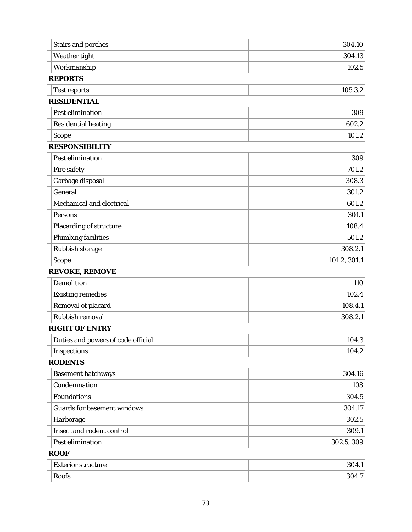| <b>Stairs and porches</b>          | 304.10       |
|------------------------------------|--------------|
| Weather tight                      | 304.13       |
| Workmanship                        | 102.5        |
| <b>REPORTS</b>                     |              |
| <b>Test reports</b>                | 105.3.2      |
| <b>RESIDENTIAL</b>                 |              |
| Pest elimination                   | 309          |
| <b>Residential heating</b>         | 602.2        |
| <b>Scope</b>                       | 101.2        |
| <b>RESPONSIBILITY</b>              |              |
| Pest elimination                   | 309          |
| <b>Fire safety</b>                 | 701.2        |
| Garbage disposal                   | 308.3        |
| General                            | 301.2        |
| Mechanical and electrical          | 601.2        |
| <b>Persons</b>                     | 301.1        |
| <b>Placarding of structure</b>     | 108.4        |
| <b>Plumbing facilities</b>         | 501.2        |
| <b>Rubbish storage</b>             | 308.2.1      |
| <b>Scope</b>                       | 101.2, 301.1 |
| <b>REVOKE, REMOVE</b>              |              |
| <b>Demolition</b>                  | 110          |
| <b>Existing remedies</b>           | 102.4        |
| Removal of placard                 | 108.4.1      |
| Rubbish removal                    | 308.2.1      |
| <b>RIGHT OF ENTRY</b>              |              |
| Duties and powers of code official | 104.3        |
| Inspections                        | 104.2        |
| <b>RODENTS</b>                     |              |
| <b>Basement hatchways</b>          | 304.16       |
| Condemnation                       | 108          |
| Foundations                        | 304.5        |
| <b>Guards for basement windows</b> | 304.17       |
| Harborage                          | 302.5        |
| <b>Insect and rodent control</b>   | 309.1        |
| Pest elimination                   | 302.5, 309   |
| <b>ROOF</b>                        |              |
| <b>Exterior structure</b>          | 304.1        |
| Roofs                              | 304.7        |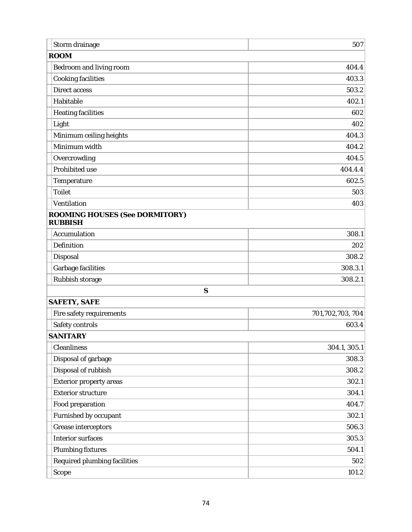| Storm drainage                                          | 507             |
|---------------------------------------------------------|-----------------|
| <b>ROOM</b>                                             |                 |
| Bedroom and living room                                 | 404.4           |
| <b>Cooking facilities</b>                               | 403.3           |
| <b>Direct access</b>                                    | 503.2           |
| Habitable                                               | 402.1           |
| <b>Heating facilities</b>                               | 602             |
| Light                                                   | 402             |
| Minimum ceiling heights                                 | 404.3           |
| Minimum width                                           | 404.2           |
| Overcrowding                                            | 404.5           |
| <b>Prohibited use</b>                                   | 404.4.4         |
| Temperature                                             | 602.5           |
| <b>Toilet</b>                                           | 503             |
| <b>Ventilation</b>                                      | 403             |
| <b>ROOMING HOUSES (See DORMITORY)</b><br><b>RUBBISH</b> |                 |
| <b>Accumulation</b>                                     | 308.1           |
| Definition                                              | 202             |
| <b>Disposal</b>                                         | 308.2           |
| <b>Garbage facilities</b>                               | 308.3.1         |
| Rubbish storage                                         | 308.2.1         |
| S                                                       |                 |
| <b>SAFETY, SAFE</b>                                     |                 |
| Fire safety requirements                                | 701,702,703,704 |
| Safety controls                                         | 603.4           |
| <b>SANITARY</b>                                         |                 |
| <b>Cleanliness</b>                                      | 304.1, 305.1    |
| Disposal of garbage                                     | 308.3           |
| Disposal of rubbish                                     | 308.2           |
| <b>Exterior property areas</b>                          | 302.1           |
| <b>Exterior structure</b>                               | 304.1           |
| Food preparation                                        | 404.7           |
| <b>Furnished by occupant</b>                            | 302.1           |
| <b>Grease interceptors</b>                              | 506.3           |
| <b>Interior surfaces</b>                                | 305.3           |
| <b>Plumbing fixtures</b>                                | 504.1           |
| <b>Required plumbing facilities</b>                     | 502             |
| <b>Scope</b>                                            | 101.2           |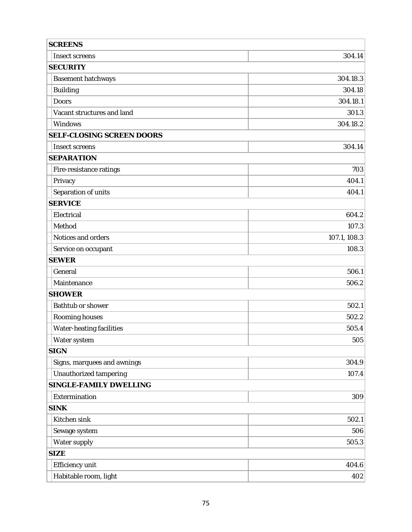| <b>Insect screens</b>            | 304.14       |
|----------------------------------|--------------|
| <b>SECURITY</b>                  |              |
| <b>Basement hatchways</b>        | 304.18.3     |
| <b>Building</b>                  | 304.18       |
| <b>Doors</b>                     | 304.18.1     |
| Vacant structures and land       | 301.3        |
| <b>Windows</b>                   | 304.18.2     |
| <b>SELF-CLOSING SCREEN DOORS</b> |              |
| <b>Insect screens</b>            | 304.14       |
| <b>SEPARATION</b>                |              |
| <b>Fire-resistance ratings</b>   | 703          |
| Privacy                          | 404.1        |
| Separation of units              | 404.1        |
| <b>SERVICE</b>                   |              |
| Electrical                       | 604.2        |
| Method                           | 107.3        |
| Notices and orders               | 107.1, 108.3 |
| Service on occupant              | 108.3        |
| <b>SEWER</b>                     |              |
| General                          | 506.1        |
| Maintenance                      | 506.2        |
| <b>SHOWER</b>                    |              |
| <b>Bathtub or shower</b>         | 502.1        |
| <b>Rooming houses</b>            | 502.2        |
| <b>Water-heating facilities</b>  | 505.4        |
| Water system                     | 505          |
| <b>SIGN</b>                      |              |
| Signs, marquees and awnings      | 304.9        |
| <b>Unauthorized tampering</b>    | 107.4        |
| <b>SINGLE-FAMILY DWELLING</b>    |              |
| <b>Extermination</b>             | 309          |
| <b>SINK</b>                      |              |
| <b>Kitchen sink</b>              | 502.1        |
| Sewage system                    | 506          |
| <b>Water supply</b>              | 505.3        |
| <b>SIZE</b>                      |              |
| Efficiency unit                  | 404.6        |
| Habitable room, light            | 402          |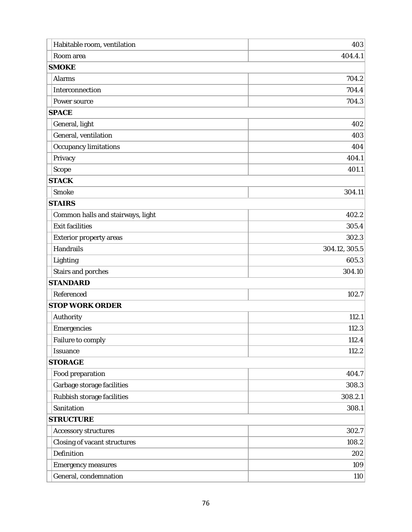| Habitable room, ventilation         | 403           |
|-------------------------------------|---------------|
| Room area                           | 404.4.1       |
| <b>SMOKE</b>                        |               |
| <b>Alarms</b>                       | 704.2         |
| Interconnection                     | 704.4         |
| Power source                        | 704.3         |
| <b>SPACE</b>                        |               |
| General, light                      | 402           |
| General, ventilation                | 403           |
| <b>Occupancy limitations</b>        | 404           |
| Privacy                             | 404.1         |
| <b>Scope</b>                        | 401.1         |
| <b>STACK</b>                        |               |
| <b>Smoke</b>                        | 304.11        |
| <b>STAIRS</b>                       |               |
| Common halls and stairways, light   | 402.2         |
| <b>Exit facilities</b>              | 305.4         |
| <b>Exterior property areas</b>      | 302.3         |
| Handrails                           | 304.12, 305.5 |
| Lighting                            | 605.3         |
| <b>Stairs and porches</b>           | 304.10        |
| <b>STANDARD</b>                     |               |
| Referenced                          | 102.7         |
| <b>STOP WORK ORDER</b>              |               |
| Authority                           | 112.1         |
| <b>Emergencies</b>                  | 112.3         |
| Failure to comply                   | 112.4         |
| Issuance                            | 112.2         |
| <b>STORAGE</b>                      |               |
| Food preparation                    | 404.7         |
| <b>Garbage storage facilities</b>   | 308.3         |
| Rubbish storage facilities          | 308.2.1       |
| Sanitation                          | 308.1         |
| <b>STRUCTURE</b>                    |               |
| <b>Accessory structures</b>         | 302.7         |
| <b>Closing of vacant structures</b> | 108.2         |
| Definition                          | 202           |
| <b>Emergency measures</b>           | 109           |
| General, condemnation               | 110           |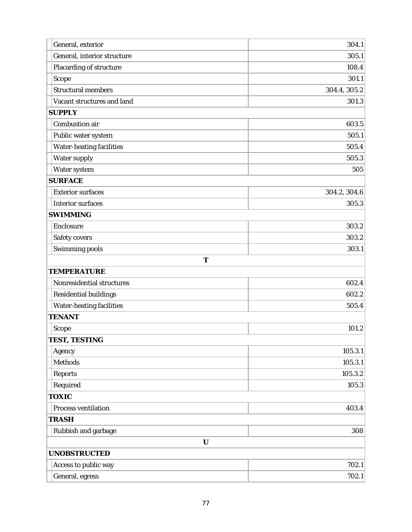| General, exterior               | 304.1        |
|---------------------------------|--------------|
| General, interior structure     | 305.1        |
| <b>Placarding of structure</b>  | 108.4        |
| <b>Scope</b>                    | 301.1        |
| <b>Structural members</b>       | 304.4, 305.2 |
| Vacant structures and land      | 301.3        |
| <b>SUPPLY</b>                   |              |
| <b>Combustion air</b>           | 603.5        |
| Public water system             | 505.1        |
| <b>Water-heating facilities</b> | 505.4        |
| <b>Water supply</b>             | 505.3        |
| Water system                    | 505          |
| <b>SURFACE</b>                  |              |
| <b>Exterior surfaces</b>        | 304.2, 304.6 |
| <b>Interior surfaces</b>        | 305.3        |
| <b>SWIMMING</b>                 |              |
| <b>Enclosure</b>                | 303.2        |
| Safety covers                   | 303.2        |
| <b>Swimming pools</b>           | 303.1        |
| T                               |              |
| <b>TEMPERATURE</b>              |              |
| Nonresidential structures       | 602.4        |
| <b>Residential buildings</b>    | 602.2        |
| <b>Water-heating facilities</b> | 505.4        |
| <b>TENANT</b>                   |              |
| <b>Scope</b>                    | 101.2        |
| TEST, TESTING                   |              |
| Agency                          | 105.3.1      |
| <b>Methods</b>                  | 105.3.1      |
| <b>Reports</b>                  | 105.3.2      |
| Required                        | 105.3        |
| <b>TOXIC</b>                    |              |
| <b>Process ventilation</b>      | 403.4        |
| <b>TRASH</b>                    |              |
| Rubbish and garbage             | 308          |
| $\mathbf U$                     |              |
| <b>UNOBSTRUCTED</b>             |              |
| Access to public way            | 702.1        |
| General, egress                 | 702.1        |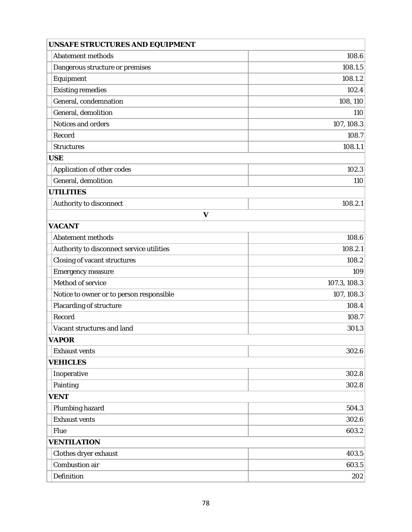| UNSAFE STRUCTURES AND EQUIPMENT           |              |
|-------------------------------------------|--------------|
| <b>Abatement methods</b>                  | 108.6        |
| Dangerous structure or premises           | 108.1.5      |
| Equipment                                 | 108.1.2      |
| <b>Existing remedies</b>                  | 102.4        |
| General, condemnation                     | 108, 110     |
| General, demolition                       | 110          |
| Notices and orders                        | 107, 108.3   |
| Record                                    | 108.7        |
| <b>Structures</b>                         | 108.1.1      |
| <b>USE</b>                                |              |
| Application of other codes                | 102.3        |
| General, demolition                       | 110          |
| <b>UTILITIES</b>                          |              |
| Authority to disconnect                   | 108.2.1      |
| V                                         |              |
| <b>VACANT</b>                             |              |
| <b>Abatement methods</b>                  | 108.6        |
| Authority to disconnect service utilities | 108.2.1      |
| <b>Closing of vacant structures</b>       | 108.2        |
| <b>Emergency measure</b>                  | 109          |
| Method of service                         | 107.3, 108.3 |
| Notice to owner or to person responsible  | 107, 108.3   |
| Placarding of structure                   | 108.4        |
| Record                                    | 108.7        |
| Vacant structures and land                | 301.3        |
| <b>VAPOR</b>                              |              |
| <b>Exhaust vents</b>                      | 302.6        |
| <b>VEHICLES</b>                           |              |
| Inoperative                               | 302.8        |
| Painting                                  | 302.8        |
| <b>VENT</b>                               |              |
| <b>Plumbing hazard</b>                    | 504.3        |
| <b>Exhaust vents</b>                      | 302.6        |
| Flue                                      | 603.2        |
| <b>VENTILATION</b>                        |              |
| Clothes dryer exhaust                     | 403.5        |
| <b>Combustion air</b>                     | 603.5        |
| Definition                                | 202          |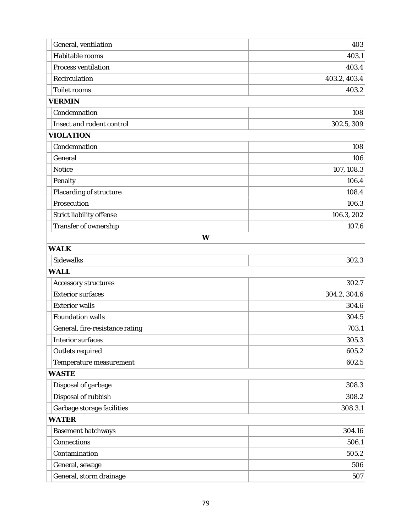| General, ventilation             | 403          |
|----------------------------------|--------------|
| Habitable rooms                  | 403.1        |
| <b>Process ventilation</b>       | 403.4        |
| <b>Recirculation</b>             | 403.2, 403.4 |
| <b>Toilet rooms</b>              | 403.2        |
| <b>VERMIN</b>                    |              |
| Condemnation                     | 108          |
| <b>Insect and rodent control</b> | 302.5, 309   |
| <b>VIOLATION</b>                 |              |
| Condemnation                     | 108          |
| General                          | 106          |
| <b>Notice</b>                    | 107, 108.3   |
| Penalty                          | 106.4        |
| <b>Placarding of structure</b>   | 108.4        |
| Prosecution                      | 106.3        |
| <b>Strict liability offense</b>  | 106.3, 202   |
| <b>Transfer of ownership</b>     | 107.6        |
| W                                |              |
| <b>WALK</b>                      |              |
| <b>Sidewalks</b>                 | 302.3        |
| <b>WALL</b>                      |              |
| <b>Accessory structures</b>      | 302.7        |
| <b>Exterior surfaces</b>         | 304.2, 304.6 |
| <b>Exterior walls</b>            | 304.6        |
| <b>Foundation walls</b>          | 304.5        |
| General, fire-resistance rating  | 703.1        |
| <b>Interior surfaces</b>         | 305.3        |
| <b>Outlets required</b>          | 605.2        |
| Temperature measurement          | 602.5        |
| <b>WASTE</b>                     |              |
| Disposal of garbage              | 308.3        |
| Disposal of rubbish              | 308.2        |
| Garbage storage facilities       | 308.3.1      |
| <b>WATER</b>                     |              |
| <b>Basement hatchways</b>        | 304.16       |
| Connections                      | 506.1        |
| Contamination                    | 505.2        |
| General, sewage                  | 506          |
| General, storm drainage          | 507          |